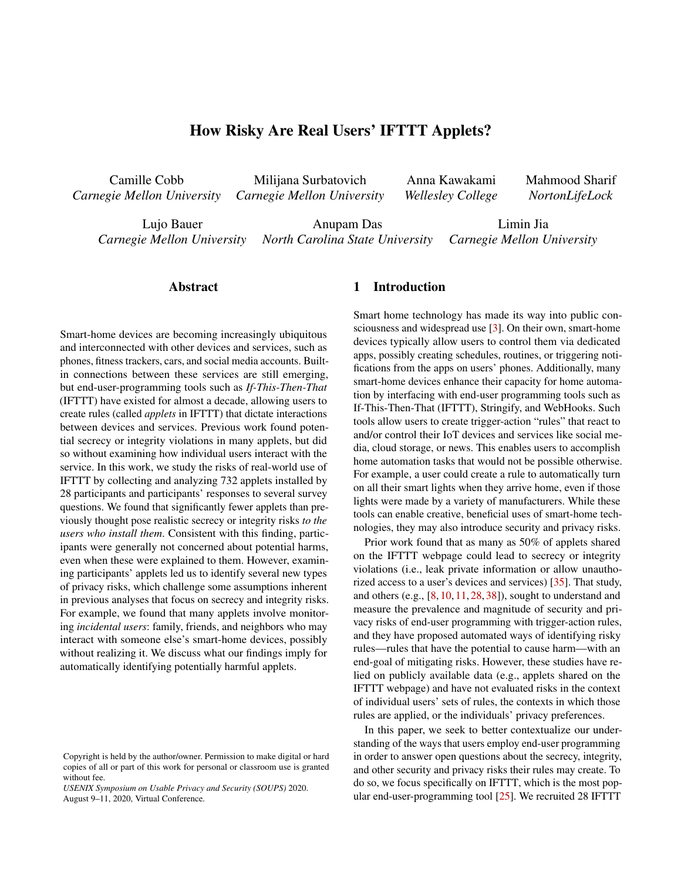# How Risky Are Real Users' IFTTT Applets?

Camille Cobb *Carnegie Mellon University* Milijana Surbatovich *Carnegie Mellon University* Anna Kawakami *Wellesley College*

Mahmood Sharif *NortonLifeLock*

Lujo Bauer *Carnegie Mellon University* Anupam Das *North Carolina State University* Limin Jia *Carnegie Mellon University*

### Abstract

Smart-home devices are becoming increasingly ubiquitous and interconnected with other devices and services, such as phones, fitness trackers, cars, and social media accounts. Builtin connections between these services are still emerging, but end-user-programming tools such as *If-This-Then-That* (IFTTT) have existed for almost a decade, allowing users to create rules (called *applets* in IFTTT) that dictate interactions between devices and services. Previous work found potential secrecy or integrity violations in many applets, but did so without examining how individual users interact with the service. In this work, we study the risks of real-world use of IFTTT by collecting and analyzing 732 applets installed by 28 participants and participants' responses to several survey questions. We found that significantly fewer applets than previously thought pose realistic secrecy or integrity risks *to the users who install them*. Consistent with this finding, participants were generally not concerned about potential harms, even when these were explained to them. However, examining participants' applets led us to identify several new types of privacy risks, which challenge some assumptions inherent in previous analyses that focus on secrecy and integrity risks. For example, we found that many applets involve monitoring *incidental users*: family, friends, and neighbors who may interact with someone else's smart-home devices, possibly without realizing it. We discuss what our findings imply for automatically identifying potentially harmful applets.

### 1 Introduction

Smart home technology has made its way into public consciousness and widespread use [\[3\]](#page-12-0). On their own, smart-home devices typically allow users to control them via dedicated apps, possibly creating schedules, routines, or triggering notifications from the apps on users' phones. Additionally, many smart-home devices enhance their capacity for home automation by interfacing with end-user programming tools such as If-This-Then-That (IFTTT), Stringify, and WebHooks. Such tools allow users to create trigger-action "rules" that react to and/or control their IoT devices and services like social media, cloud storage, or news. This enables users to accomplish home automation tasks that would not be possible otherwise. For example, a user could create a rule to automatically turn on all their smart lights when they arrive home, even if those lights were made by a variety of manufacturers. While these tools can enable creative, beneficial uses of smart-home technologies, they may also introduce security and privacy risks.

Prior work found that as many as 50% of applets shared on the IFTTT webpage could lead to secrecy or integrity violations (i.e., leak private information or allow unauthorized access to a user's devices and services) [\[35\]](#page-13-0). That study, and others (e.g., [\[8,](#page-12-1) [10,](#page-12-2) [11,](#page-12-3) [28,](#page-13-1) [38\]](#page-13-2)), sought to understand and measure the prevalence and magnitude of security and privacy risks of end-user programming with trigger-action rules, and they have proposed automated ways of identifying risky rules—rules that have the potential to cause harm—with an end-goal of mitigating risks. However, these studies have relied on publicly available data (e.g., applets shared on the IFTTT webpage) and have not evaluated risks in the context of individual users' sets of rules, the contexts in which those rules are applied, or the individuals' privacy preferences.

In this paper, we seek to better contextualize our understanding of the ways that users employ end-user programming in order to answer open questions about the secrecy, integrity, and other security and privacy risks their rules may create. To do so, we focus specifically on IFTTT, which is the most popular end-user-programming tool [\[25\]](#page-13-3). We recruited 28 IFTTT

Copyright is held by the author/owner. Permission to make digital or hard copies of all or part of this work for personal or classroom use is granted without fee.

*USENIX Symposium on Usable Privacy and Security (SOUPS)* 2020. August 9–11, 2020, Virtual Conference.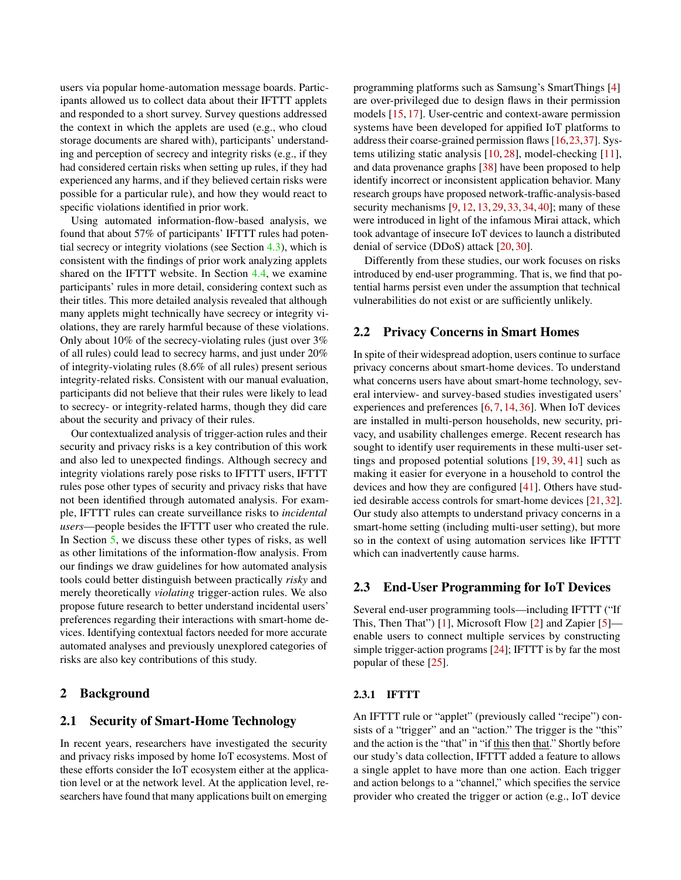users via popular home-automation message boards. Participants allowed us to collect data about their IFTTT applets and responded to a short survey. Survey questions addressed the context in which the applets are used (e.g., who cloud storage documents are shared with), participants' understanding and perception of secrecy and integrity risks (e.g., if they had considered certain risks when setting up rules, if they had experienced any harms, and if they believed certain risks were possible for a particular rule), and how they would react to specific violations identified in prior work.

Using automated information-flow-based analysis, we found that about 57% of participants' IFTTT rules had potential secrecy or integrity violations (see Section [4.3\)](#page-5-0), which is consistent with the findings of prior work analyzing applets shared on the IFTTT website. In Section [4.4,](#page-5-1) we examine participants' rules in more detail, considering context such as their titles. This more detailed analysis revealed that although many applets might technically have secrecy or integrity violations, they are rarely harmful because of these violations. Only about 10% of the secrecy-violating rules (just over 3% of all rules) could lead to secrecy harms, and just under 20% of integrity-violating rules (8.6% of all rules) present serious integrity-related risks. Consistent with our manual evaluation, participants did not believe that their rules were likely to lead to secrecy- or integrity-related harms, though they did care about the security and privacy of their rules.

Our contextualized analysis of trigger-action rules and their security and privacy risks is a key contribution of this work and also led to unexpected findings. Although secrecy and integrity violations rarely pose risks to IFTTT users, IFTTT rules pose other types of security and privacy risks that have not been identified through automated analysis. For example, IFTTT rules can create surveillance risks to *incidental users*—people besides the IFTTT user who created the rule. In Section [5,](#page-9-0) we discuss these other types of risks, as well as other limitations of the information-flow analysis. From our findings we draw guidelines for how automated analysis tools could better distinguish between practically *risky* and merely theoretically *violating* trigger-action rules. We also propose future research to better understand incidental users' preferences regarding their interactions with smart-home devices. Identifying contextual factors needed for more accurate automated analyses and previously unexplored categories of risks are also key contributions of this study.

### 2 Background

### 2.1 Security of Smart-Home Technology

In recent years, researchers have investigated the security and privacy risks imposed by home IoT ecosystems. Most of these efforts consider the IoT ecosystem either at the application level or at the network level. At the application level, researchers have found that many applications built on emerging

programming platforms such as Samsung's SmartThings [\[4\]](#page-12-4) are over-privileged due to design flaws in their permission models [\[15,](#page-12-5) [17\]](#page-12-6). User-centric and context-aware permission systems have been developed for appified IoT platforms to address their coarse-grained permission flaws [\[16,](#page-12-7)[23,](#page-13-4)[37\]](#page-13-5). Systems utilizing static analysis [\[10,](#page-12-2) [28\]](#page-13-1), model-checking [\[11\]](#page-12-3), and data provenance graphs [\[38\]](#page-13-2) have been proposed to help identify incorrect or inconsistent application behavior. Many research groups have proposed network-traffic-analysis-based security mechanisms [\[9,](#page-12-8) [12,](#page-12-9) [13,](#page-12-10) [29,](#page-13-6) [33,](#page-13-7) [34,](#page-13-8) [40\]](#page-13-9); many of these were introduced in light of the infamous Mirai attack, which took advantage of insecure IoT devices to launch a distributed denial of service (DDoS) attack [\[20,](#page-12-11) [30\]](#page-13-10).

Differently from these studies, our work focuses on risks introduced by end-user programming. That is, we find that potential harms persist even under the assumption that technical vulnerabilities do not exist or are sufficiently unlikely.

### 2.2 Privacy Concerns in Smart Homes

In spite of their widespread adoption, users continue to surface privacy concerns about smart-home devices. To understand what concerns users have about smart-home technology, several interview- and survey-based studies investigated users' experiences and preferences [\[6,](#page-12-12) [7,](#page-12-13) [14,](#page-12-14) [36\]](#page-13-11). When IoT devices are installed in multi-person households, new security, privacy, and usability challenges emerge. Recent research has sought to identify user requirements in these multi-user settings and proposed potential solutions [\[19,](#page-12-15) [39,](#page-13-12) [41\]](#page-14-0) such as making it easier for everyone in a household to control the devices and how they are configured [\[41\]](#page-14-0). Others have studied desirable access controls for smart-home devices [\[21,](#page-12-16) [32\]](#page-13-13). Our study also attempts to understand privacy concerns in a smart-home setting (including multi-user setting), but more so in the context of using automation services like IFTTT which can inadvertently cause harms.

### 2.3 End-User Programming for IoT Devices

Several end-user programming tools—including IFTTT ("If This, Then That") [\[1\]](#page-12-17), Microsoft Flow [\[2\]](#page-12-18) and Zapier [\[5\]](#page-12-19) enable users to connect multiple services by constructing simple trigger-action programs [\[24\]](#page-13-14); IFTTT is by far the most popular of these [\[25\]](#page-13-3).

#### 2.3.1 IFTTT

An IFTTT rule or "applet" (previously called "recipe") consists of a "trigger" and an "action." The trigger is the "this" and the action is the "that" in "if this then that." Shortly before our study's data collection, IFTTT added a feature to allows a single applet to have more than one action. Each trigger and action belongs to a "channel," which specifies the service provider who created the trigger or action (e.g., IoT device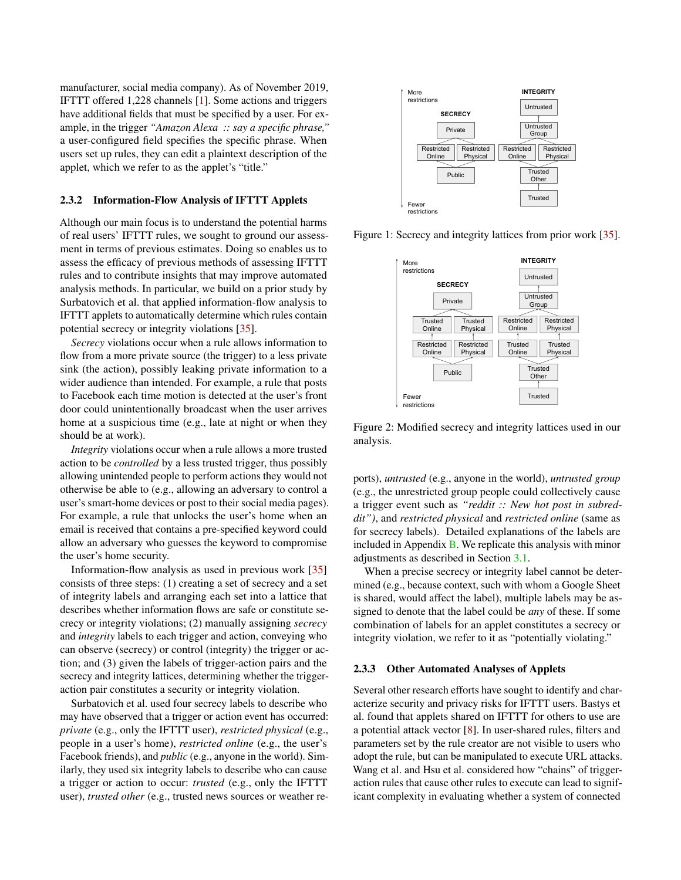manufacturer, social media company). As of November 2019, IFTTT offered 1,228 channels [\[1\]](#page-12-17). Some actions and triggers have additional fields that must be specified by a user. For example, in the trigger *"Amazon Alexa :: say a specific phrase,"* a user-configured field specifies the specific phrase. When users set up rules, they can edit a plaintext description of the applet, which we refer to as the applet's "title."

#### <span id="page-2-0"></span>2.3.2 Information-Flow Analysis of IFTTT Applets

Although our main focus is to understand the potential harms of real users' IFTTT rules, we sought to ground our assessment in terms of previous estimates. Doing so enables us to assess the efficacy of previous methods of assessing IFTTT rules and to contribute insights that may improve automated analysis methods. In particular, we build on a prior study by Surbatovich et al. that applied information-flow analysis to IFTTT applets to automatically determine which rules contain potential secrecy or integrity violations [\[35\]](#page-13-0).

*Secrecy* violations occur when a rule allows information to flow from a more private source (the trigger) to a less private sink (the action), possibly leaking private information to a wider audience than intended. For example, a rule that posts to Facebook each time motion is detected at the user's front door could unintentionally broadcast when the user arrives home at a suspicious time (e.g., late at night or when they should be at work).

*Integrity* violations occur when a rule allows a more trusted action to be *controlled* by a less trusted trigger, thus possibly allowing unintended people to perform actions they would not otherwise be able to (e.g., allowing an adversary to control a user's smart-home devices or post to their social media pages). For example, a rule that unlocks the user's home when an email is received that contains a pre-specified keyword could allow an adversary who guesses the keyword to compromise the user's home security.

Information-flow analysis as used in previous work [\[35\]](#page-13-0) consists of three steps: (1) creating a set of secrecy and a set of integrity labels and arranging each set into a lattice that describes whether information flows are safe or constitute secrecy or integrity violations; (2) manually assigning *secrecy* and *integrity* labels to each trigger and action, conveying who can observe (secrecy) or control (integrity) the trigger or action; and (3) given the labels of trigger-action pairs and the secrecy and integrity lattices, determining whether the triggeraction pair constitutes a security or integrity violation.

Surbatovich et al. used four secrecy labels to describe who may have observed that a trigger or action event has occurred: *private* (e.g., only the IFTTT user), *restricted physical* (e.g., people in a user's home), *restricted online* (e.g., the user's Facebook friends), and *public* (e.g., anyone in the world). Similarly, they used six integrity labels to describe who can cause a trigger or action to occur: *trusted* (e.g., only the IFTTT user), *trusted other* (e.g., trusted news sources or weather re-



<span id="page-2-1"></span>Figure 1: Secrecy and integrity lattices from prior work [\[35\]](#page-13-0).



Figure 2: Modified secrecy and integrity lattices used in our analysis.

ports), *untrusted* (e.g., anyone in the world), *untrusted group* (e.g., the unrestricted group people could collectively cause a trigger event such as *"reddit :: New hot post in subreddit")*, and *restricted physical* and *restricted online* (same as for secrecy labels). Detailed explanations of the labels are included in Appendix  $\bf{B}$ . We replicate this analysis with minor adjustments as described in Section [3.1.](#page-3-0)

When a precise secrecy or integrity label cannot be determined (e.g., because context, such with whom a Google Sheet is shared, would affect the label), multiple labels may be assigned to denote that the label could be *any* of these. If some combination of labels for an applet constitutes a secrecy or integrity violation, we refer to it as "potentially violating."

#### 2.3.3 Other Automated Analyses of Applets

Several other research efforts have sought to identify and characterize security and privacy risks for IFTTT users. Bastys et al. found that applets shared on IFTTT for others to use are a potential attack vector [\[8\]](#page-12-1). In user-shared rules, filters and parameters set by the rule creator are not visible to users who adopt the rule, but can be manipulated to execute URL attacks. Wang et al. and Hsu et al. considered how "chains" of triggeraction rules that cause other rules to execute can lead to significant complexity in evaluating whether a system of connected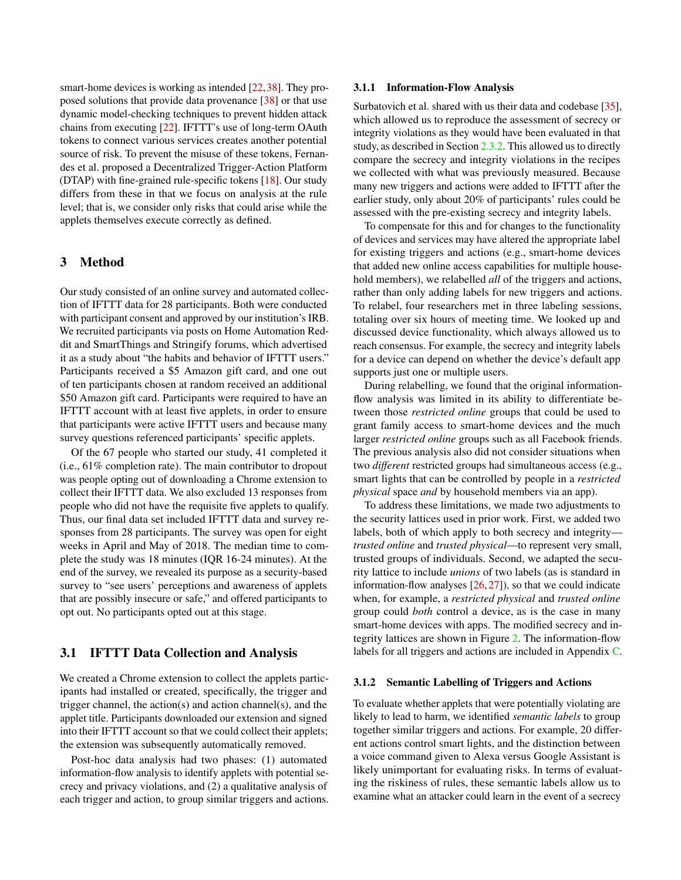smart-home devices is working as intended [\[22,](#page-13-15)[38\]](#page-13-2). They proposed solutions that provide data provenance [\[38\]](#page-13-2) or that use dynamic model-checking techniques to prevent hidden attack chains from executing [\[22\]](#page-13-15). IFTTT's use of long-term OAuth tokens to connect various services creates another potential source of risk. To prevent the misuse of these tokens, Fernandes et al. proposed a Decentralized Trigger-Action Platform (DTAP) with fine-grained rule-specific tokens [\[18\]](#page-12-20). Our study differs from these in that we focus on analysis at the rule level; that is, we consider only risks that could arise while the applets themselves execute correctly as defined.

### <span id="page-3-2"></span>3 Method

Our study consisted of an online survey and automated collection of IFTTT data for 28 participants. Both were conducted with participant consent and approved by our institution's IRB. We recruited participants via posts on Home Automation Reddit and SmartThings and Stringify forums, which advertised it as a study about "the habits and behavior of IFTTT users." Participants received a \$5 Amazon gift card, and one out of ten participants chosen at random received an additional \$50 Amazon gift card. Participants were required to have an IFTTT account with at least five applets, in order to ensure that participants were active IFTTT users and because many survey questions referenced participants' specific applets.

Of the 67 people who started our study, 41 completed it (i.e., 61% completion rate). The main contributor to dropout was people opting out of downloading a Chrome extension to collect their IFTTT data. We also excluded 13 responses from people who did not have the requisite five applets to qualify. Thus, our final data set included IFTTT data and survey responses from 28 participants. The survey was open for eight weeks in April and May of 2018. The median time to complete the study was 18 minutes (IQR 16-24 minutes). At the end of the survey, we revealed its purpose as a security-based survey to "see users' perceptions and awareness of applets that are possibly insecure or safe," and offered participants to opt out. No participants opted out at this stage.

### <span id="page-3-0"></span>3.1 IFTTT Data Collection and Analysis

We created a Chrome extension to collect the applets participants had installed or created, specifically, the trigger and trigger channel, the action(s) and action channel(s), and the applet title. Participants downloaded our extension and signed into their IFTTT account so that we could collect their applets; the extension was subsequently automatically removed.

Post-hoc data analysis had two phases: (1) automated information-flow analysis to identify applets with potential secrecy and privacy violations, and (2) a qualitative analysis of each trigger and action, to group similar triggers and actions.

#### 3.1.1 Information-Flow Analysis

Surbatovich et al. shared with us their data and codebase [\[35\]](#page-13-0), which allowed us to reproduce the assessment of secrecy or integrity violations as they would have been evaluated in that study, as described in Section [2.3.2.](#page-2-0) This allowed us to directly compare the secrecy and integrity violations in the recipes we collected with what was previously measured. Because many new triggers and actions were added to IFTTT after the earlier study, only about 20% of participants' rules could be assessed with the pre-existing secrecy and integrity labels.

To compensate for this and for changes to the functionality of devices and services may have altered the appropriate label for existing triggers and actions (e.g., smart-home devices that added new online access capabilities for multiple household members), we relabelled *all* of the triggers and actions, rather than only adding labels for new triggers and actions. To relabel, four researchers met in three labeling sessions, totaling over six hours of meeting time. We looked up and discussed device functionality, which always allowed us to reach consensus. For example, the secrecy and integrity labels for a device can depend on whether the device's default app supports just one or multiple users.

During relabelling, we found that the original informationflow analysis was limited in its ability to differentiate between those *restricted online* groups that could be used to grant family access to smart-home devices and the much larger *restricted online* groups such as all Facebook friends. The previous analysis also did not consider situations when two *different* restricted groups had simultaneous access (e.g., smart lights that can be controlled by people in a *restricted physical* space *and* by household members via an app).

To address these limitations, we made two adjustments to the security lattices used in prior work. First, we added two labels, both of which apply to both secrecy and integrity *trusted online* and *trusted physical*—to represent very small, trusted groups of individuals. Second, we adapted the security lattice to include *unions* of two labels (as is standard in information-flow analyses  $[26, 27]$  $[26, 27]$  $[26, 27]$ , so that we could indicate when, for example, a *restricted physical* and *trusted online* group could *both* control a device, as is the case in many smart-home devices with apps. The modified secrecy and integrity lattices are shown in Figure [2.](#page-2-1) The information-flow labels for all triggers and actions are included in Appendix [C.](#page-17-0)

#### <span id="page-3-1"></span>3.1.2 Semantic Labelling of Triggers and Actions

To evaluate whether applets that were potentially violating are likely to lead to harm, we identified *semantic labels* to group together similar triggers and actions. For example, 20 different actions control smart lights, and the distinction between a voice command given to Alexa versus Google Assistant is likely unimportant for evaluating risks. In terms of evaluating the riskiness of rules, these semantic labels allow us to examine what an attacker could learn in the event of a secrecy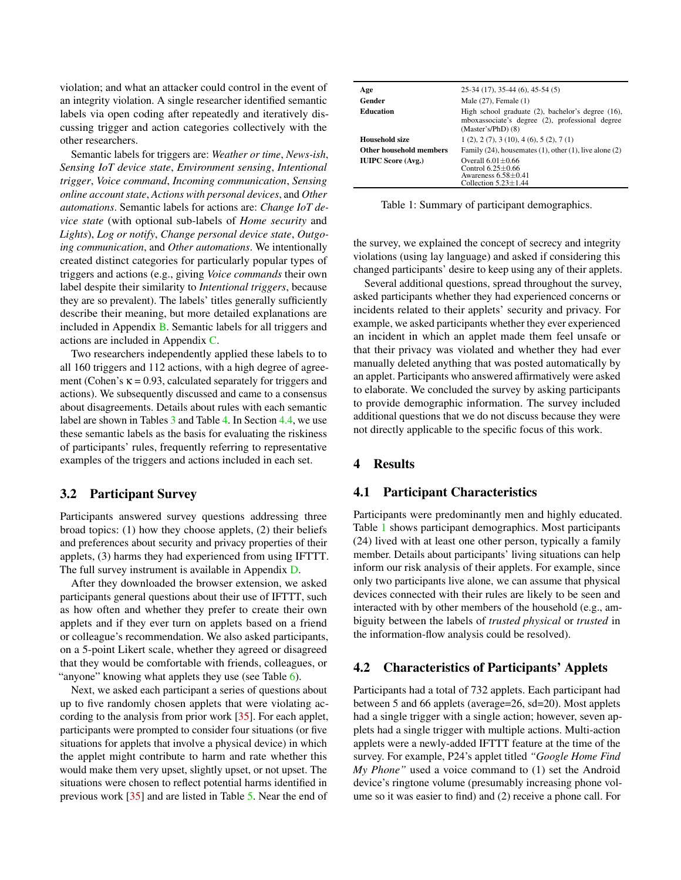violation; and what an attacker could control in the event of an integrity violation. A single researcher identified semantic labels via open coding after repeatedly and iteratively discussing trigger and action categories collectively with the other researchers.

Semantic labels for triggers are: *Weather or time*, *News-ish*, *Sensing IoT device state*, *Environment sensing*, *Intentional trigger*, *Voice command*, *Incoming communication*, *Sensing online account state*, *Actions with personal devices*, and *Other automations*. Semantic labels for actions are: *Change IoT device state* (with optional sub-labels of *Home security* and *Lights*), *Log or notify*, *Change personal device state*, *Outgoing communication*, and *Other automations*. We intentionally created distinct categories for particularly popular types of triggers and actions (e.g., giving *Voice commands* their own label despite their similarity to *Intentional triggers*, because they are so prevalent). The labels' titles generally sufficiently describe their meaning, but more detailed explanations are included in Appendix [B.](#page-14-1) Semantic labels for all triggers and actions are included in Appendix [C.](#page-17-0)

Two researchers independently applied these labels to to all 160 triggers and 112 actions, with a high degree of agreement (Cohen's  $\kappa = 0.93$ , calculated separately for triggers and actions). We subsequently discussed and came to a consensus about disagreements. Details about rules with each semantic label are shown in Tables [3](#page-8-0) and Table [4.](#page-8-1) In Section [4.4,](#page-5-1) we use these semantic labels as the basis for evaluating the riskiness of participants' rules, frequently referring to representative examples of the triggers and actions included in each set.

### 3.2 Participant Survey

Participants answered survey questions addressing three broad topics: (1) how they choose applets, (2) their beliefs and preferences about security and privacy properties of their applets, (3) harms they had experienced from using IFTTT. The full survey instrument is available in Appendix [D.](#page-21-0)

After they downloaded the browser extension, we asked participants general questions about their use of IFTTT, such as how often and whether they prefer to create their own applets and if they ever turn on applets based on a friend or colleague's recommendation. We also asked participants, on a 5-point Likert scale, whether they agreed or disagreed that they would be comfortable with friends, colleagues, or "anyone" knowing what applets they use (see Table [6\)](#page-9-1).

Next, we asked each participant a series of questions about up to five randomly chosen applets that were violating according to the analysis from prior work [\[35\]](#page-13-0). For each applet, participants were prompted to consider four situations (or five situations for applets that involve a physical device) in which the applet might contribute to harm and rate whether this would make them very upset, slightly upset, or not upset. The situations were chosen to reflect potential harms identified in previous work [\[35\]](#page-13-0) and are listed in Table [5.](#page-8-2) Near the end of

<span id="page-4-0"></span>

| Age                       | $25-34(17), 35-44(6), 45-54(5)$                                                                                              |
|---------------------------|------------------------------------------------------------------------------------------------------------------------------|
| Gender                    | Male $(27)$ , Female $(1)$                                                                                                   |
| <b>Education</b>          | High school graduate (2), bachelor's degree (16),<br>mboxassociate's degree (2), professional degree<br>$(Master's/PhD)$ (8) |
| Household size            | 1(2), 2(7), 3(10), 4(6), 5(2), 7(1)                                                                                          |
| Other household members   | Family $(24)$ , housemates $(1)$ , other $(1)$ , live alone $(2)$                                                            |
| <b>IUIPC Score (Avg.)</b> | Overall $6.01 + 0.66$<br>Control $6.25 \pm 0.66$<br>Awareness $6.58+0.41$<br>Collection $5.23+1.44$                          |

Table 1: Summary of participant demographics.

the survey, we explained the concept of secrecy and integrity violations (using lay language) and asked if considering this changed participants' desire to keep using any of their applets.

Several additional questions, spread throughout the survey, asked participants whether they had experienced concerns or incidents related to their applets' security and privacy. For example, we asked participants whether they ever experienced an incident in which an applet made them feel unsafe or that their privacy was violated and whether they had ever manually deleted anything that was posted automatically by an applet. Participants who answered affirmatively were asked to elaborate. We concluded the survey by asking participants to provide demographic information. The survey included additional questions that we do not discuss because they were not directly applicable to the specific focus of this work.

## <span id="page-4-1"></span>4 Results

### 4.1 Participant Characteristics

Participants were predominantly men and highly educated. Table [1](#page-4-0) shows participant demographics. Most participants (24) lived with at least one other person, typically a family member. Details about participants' living situations can help inform our risk analysis of their applets. For example, since only two participants live alone, we can assume that physical devices connected with their rules are likely to be seen and interacted with by other members of the household (e.g., ambiguity between the labels of *trusted physical* or *trusted* in the information-flow analysis could be resolved).

### <span id="page-4-2"></span>4.2 Characteristics of Participants' Applets

Participants had a total of 732 applets. Each participant had between 5 and 66 applets (average=26, sd=20). Most applets had a single trigger with a single action; however, seven applets had a single trigger with multiple actions. Multi-action applets were a newly-added IFTTT feature at the time of the survey. For example, P24's applet titled *"Google Home Find My Phone"* used a voice command to (1) set the Android device's ringtone volume (presumably increasing phone volume so it was easier to find) and (2) receive a phone call. For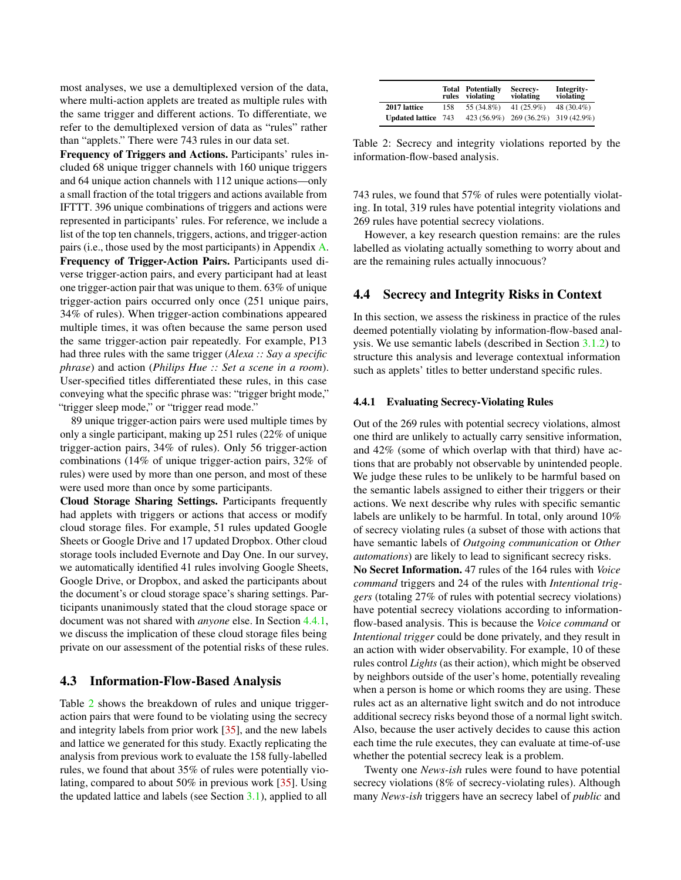most analyses, we use a demultiplexed version of the data, where multi-action applets are treated as multiple rules with the same trigger and different actions. To differentiate, we refer to the demultiplexed version of data as "rules" rather than "applets." There were 743 rules in our data set.

Frequency of Triggers and Actions. Participants' rules included 68 unique trigger channels with 160 unique triggers and 64 unique action channels with 112 unique actions—only a small fraction of the total triggers and actions available from IFTTT. 396 unique combinations of triggers and actions were represented in participants' rules. For reference, we include a list of the top ten channels, triggers, actions, and trigger-action pairs (i.e., those used by the most participants) in Appendix [A.](#page-14-2) Frequency of Trigger-Action Pairs. Participants used diverse trigger-action pairs, and every participant had at least one trigger-action pair that was unique to them. 63% of unique trigger-action pairs occurred only once (251 unique pairs, 34% of rules). When trigger-action combinations appeared multiple times, it was often because the same person used the same trigger-action pair repeatedly. For example, P13 had three rules with the same trigger (*Alexa :: Say a specific phrase*) and action (*Philips Hue :: Set a scene in a room*). User-specified titles differentiated these rules, in this case conveying what the specific phrase was: "trigger bright mode," "trigger sleep mode," or "trigger read mode."

89 unique trigger-action pairs were used multiple times by only a single participant, making up 251 rules (22% of unique trigger-action pairs, 34% of rules). Only 56 trigger-action combinations (14% of unique trigger-action pairs, 32% of rules) were used by more than one person, and most of these were used more than once by some participants.

Cloud Storage Sharing Settings. Participants frequently had applets with triggers or actions that access or modify cloud storage files. For example, 51 rules updated Google Sheets or Google Drive and 17 updated Dropbox. Other cloud storage tools included Evernote and Day One. In our survey, we automatically identified 41 rules involving Google Sheets, Google Drive, or Dropbox, and asked the participants about the document's or cloud storage space's sharing settings. Participants unanimously stated that the cloud storage space or document was not shared with *anyone* else. In Section [4.4.1,](#page-5-2) we discuss the implication of these cloud storage files being private on our assessment of the potential risks of these rules.

### <span id="page-5-0"></span>4.3 Information-Flow-Based Analysis

Table [2](#page-5-3) shows the breakdown of rules and unique triggeraction pairs that were found to be violating using the secrecy and integrity labels from prior work [\[35\]](#page-13-0), and the new labels and lattice we generated for this study. Exactly replicating the analysis from previous work to evaluate the 158 fully-labelled rules, we found that about 35% of rules were potentially violating, compared to about 50% in previous work [\[35\]](#page-13-0). Using the updated lattice and labels (see Section [3.1\)](#page-3-0), applied to all

<span id="page-5-3"></span>

|                        | rules | <b>Total Potentially</b><br>violating | Secrecy-<br>violating               | Integrity-<br>violating |
|------------------------|-------|---------------------------------------|-------------------------------------|-------------------------|
| 2017 lattice           | 158   | 55 (34.8%)                            | 41 $(25.9\%)$                       | 48 (30.4%)              |
| <b>Updated lattice</b> | 743   |                                       | 423 (56.9%) 269 (36.2%) 319 (42.9%) |                         |

Table 2: Secrecy and integrity violations reported by the information-flow-based analysis.

743 rules, we found that 57% of rules were potentially violating. In total, 319 rules have potential integrity violations and 269 rules have potential secrecy violations.

However, a key research question remains: are the rules labelled as violating actually something to worry about and are the remaining rules actually innocuous?

#### <span id="page-5-1"></span>4.4 Secrecy and Integrity Risks in Context

In this section, we assess the riskiness in practice of the rules deemed potentially violating by information-flow-based analysis. We use semantic labels (described in Section [3.1.2\)](#page-3-1) to structure this analysis and leverage contextual information such as applets' titles to better understand specific rules.

#### <span id="page-5-2"></span>4.4.1 Evaluating Secrecy-Violating Rules

Out of the 269 rules with potential secrecy violations, almost one third are unlikely to actually carry sensitive information, and 42% (some of which overlap with that third) have actions that are probably not observable by unintended people. We judge these rules to be unlikely to be harmful based on the semantic labels assigned to either their triggers or their actions. We next describe why rules with specific semantic labels are unlikely to be harmful. In total, only around 10% of secrecy violating rules (a subset of those with actions that have semantic labels of *Outgoing communication* or *Other automations*) are likely to lead to significant secrecy risks. No Secret Information. 47 rules of the 164 rules with *Voice command* triggers and 24 of the rules with *Intentional triggers* (totaling 27% of rules with potential secrecy violations) have potential secrecy violations according to informationflow-based analysis. This is because the *Voice command* or *Intentional trigger* could be done privately, and they result in an action with wider observability. For example, 10 of these rules control *Lights* (as their action), which might be observed by neighbors outside of the user's home, potentially revealing when a person is home or which rooms they are using. These rules act as an alternative light switch and do not introduce additional secrecy risks beyond those of a normal light switch. Also, because the user actively decides to cause this action each time the rule executes, they can evaluate at time-of-use whether the potential secrecy leak is a problem.

Twenty one *News-ish* rules were found to have potential secrecy violations (8% of secrecy-violating rules). Although many *News-ish* triggers have an secrecy label of *public* and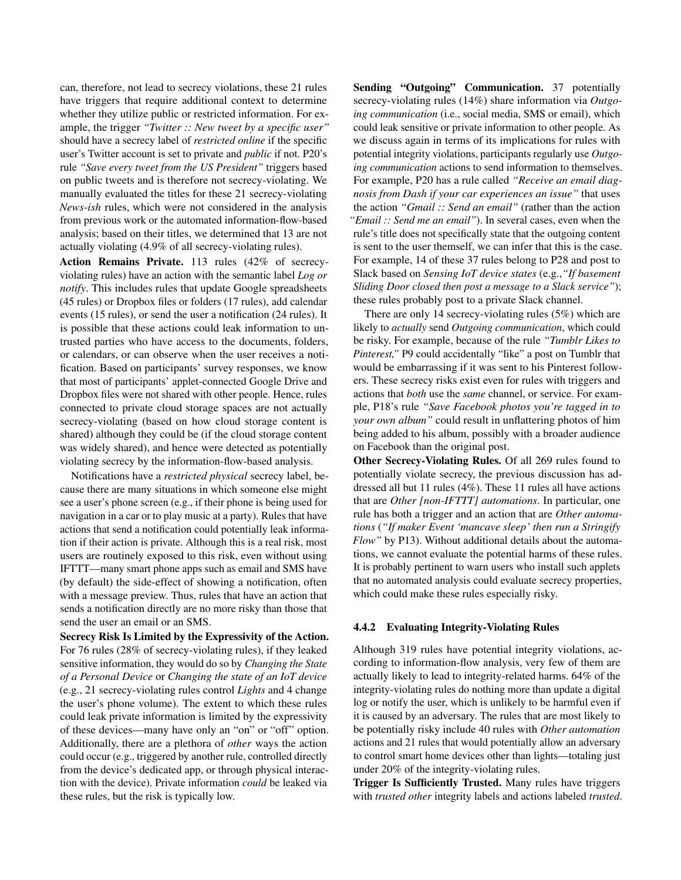can, therefore, not lead to secrecy violations, these 21 rules have triggers that require additional context to determine whether they utilize public or restricted information. For example, the trigger *"Twitter :: New tweet by a specific user"* should have a secrecy label of *restricted online* if the specific user's Twitter account is set to private and *public* if not. P20's rule *"Save every tweet from the US President"* triggers based on public tweets and is therefore not secrecy-violating. We manually evaluated the titles for these 21 secrecy-violating *News-ish* rules, which were not considered in the analysis from previous work or the automated information-flow-based analysis; based on their titles, we determined that 13 are not actually violating (4.9% of all secrecy-violating rules).

Action Remains Private. 113 rules (42% of secrecyviolating rules) have an action with the semantic label *Log or notify*. This includes rules that update Google spreadsheets (45 rules) or Dropbox files or folders (17 rules), add calendar events (15 rules), or send the user a notification (24 rules). It is possible that these actions could leak information to untrusted parties who have access to the documents, folders, or calendars, or can observe when the user receives a notification. Based on participants' survey responses, we know that most of participants' applet-connected Google Drive and Dropbox files were not shared with other people. Hence, rules connected to private cloud storage spaces are not actually secrecy-violating (based on how cloud storage content is shared) although they could be (if the cloud storage content was widely shared), and hence were detected as potentially violating secrecy by the information-flow-based analysis.

Notifications have a *restricted physical* secrecy label, because there are many situations in which someone else might see a user's phone screen (e.g., if their phone is being used for navigation in a car or to play music at a party). Rules that have actions that send a notification could potentially leak information if their action is private. Although this is a real risk, most users are routinely exposed to this risk, even without using IFTTT—many smart phone apps such as email and SMS have (by default) the side-effect of showing a notification, often with a message preview. Thus, rules that have an action that sends a notification directly are no more risky than those that send the user an email or an SMS.

Secrecy Risk Is Limited by the Expressivity of the Action. For 76 rules (28% of secrecy-violating rules), if they leaked sensitive information, they would do so by *Changing the State of a Personal Device* or *Changing the state of an IoT device* (e.g., 21 secrecy-violating rules control *Lights* and 4 change the user's phone volume). The extent to which these rules could leak private information is limited by the expressivity of these devices—many have only an "on" or "off" option. Additionally, there are a plethora of *other* ways the action could occur (e.g., triggered by another rule, controlled directly from the device's dedicated app, or through physical interaction with the device). Private information *could* be leaked via these rules, but the risk is typically low.

Sending "Outgoing" Communication. 37 potentially secrecy-violating rules (14%) share information via *Outgoing communication* (i.e., social media, SMS or email), which could leak sensitive or private information to other people. As we discuss again in terms of its implications for rules with potential integrity violations, participants regularly use *Outgoing communication* actions to send information to themselves. For example, P20 has a rule called *"Receive an email diagnosis from Dash if your car experiences an issue"* that uses the action *"Gmail :: Send an email"* (rather than the action *"Email :: Send me an email"*). In several cases, even when the rule's title does not specifically state that the outgoing content is sent to the user themself, we can infer that this is the case. For example, 14 of these 37 rules belong to P28 and post to Slack based on *Sensing IoT device states* (e.g.,*"If basement Sliding Door closed then post a message to a Slack service"*); these rules probably post to a private Slack channel.

There are only 14 secrecy-violating rules (5%) which are likely to *actually* send *Outgoing communication*, which could be risky. For example, because of the rule *"Tumblr Likes to Pinterest,"* P9 could accidentally "like" a post on Tumblr that would be embarrassing if it was sent to his Pinterest followers. These secrecy risks exist even for rules with triggers and actions that *both* use the *same* channel, or service. For example, P18's rule *"Save Facebook photos you're tagged in to your own album"* could result in unflattering photos of him being added to his album, possibly with a broader audience on Facebook than the original post.

Other Secrecy-Violating Rules. Of all 269 rules found to potentially violate secrecy, the previous discussion has addressed all but 11 rules (4%). These 11 rules all have actions that are *Other [non-IFTTT] automations*. In particular, one rule has both a trigger and an action that are *Other automations* (*"If maker Event 'mancave sleep' then run a Stringify Flow"* by P13). Without additional details about the automations, we cannot evaluate the potential harms of these rules. It is probably pertinent to warn users who install such applets that no automated analysis could evaluate secrecy properties, which could make these rules especially risky.

#### 4.4.2 Evaluating Integrity-Violating Rules

Although 319 rules have potential integrity violations, according to information-flow analysis, very few of them are actually likely to lead to integrity-related harms. 64% of the integrity-violating rules do nothing more than update a digital log or notify the user, which is unlikely to be harmful even if it is caused by an adversary. The rules that are most likely to be potentially risky include 40 rules with *Other automation* actions and 21 rules that would potentially allow an adversary to control smart home devices other than lights—totaling just under 20% of the integrity-violating rules.

Trigger Is Sufficiently Trusted. Many rules have triggers with *trusted other* integrity labels and actions labeled *trusted*.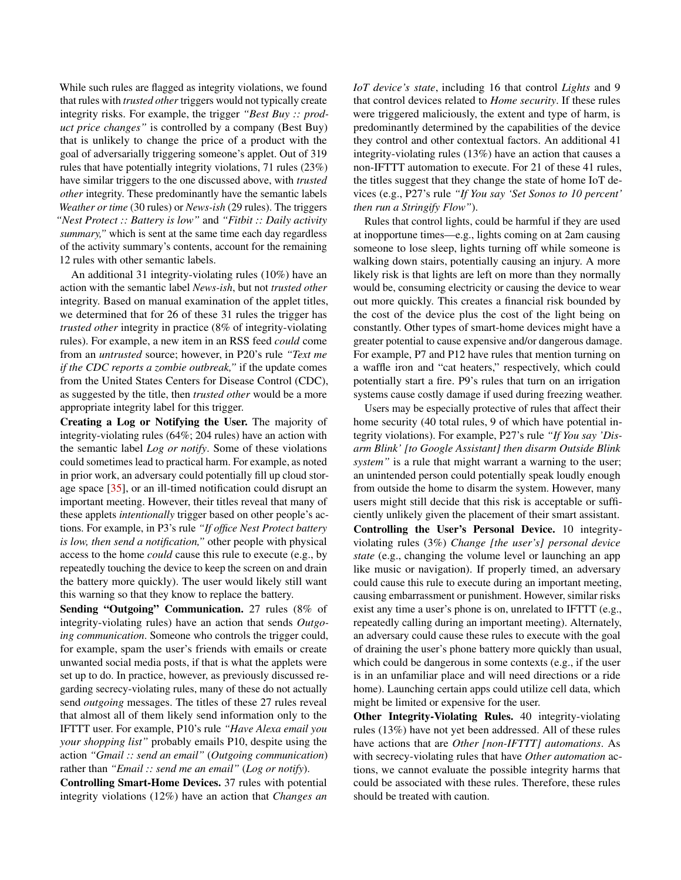While such rules are flagged as integrity violations, we found that rules with *trusted other* triggers would not typically create integrity risks. For example, the trigger *"Best Buy :: product price changes"* is controlled by a company (Best Buy) that is unlikely to change the price of a product with the goal of adversarially triggering someone's applet. Out of 319 rules that have potentially integrity violations, 71 rules (23%) have similar triggers to the one discussed above, with *trusted other* integrity. These predominantly have the semantic labels *Weather or time* (30 rules) or *News-ish* (29 rules). The triggers *"Nest Protect :: Battery is low"* and *"Fitbit :: Daily activity summary,"* which is sent at the same time each day regardless of the activity summary's contents, account for the remaining 12 rules with other semantic labels.

An additional 31 integrity-violating rules (10%) have an action with the semantic label *News-ish*, but not *trusted other* integrity. Based on manual examination of the applet titles, we determined that for 26 of these 31 rules the trigger has *trusted other* integrity in practice (8% of integrity-violating rules). For example, a new item in an RSS feed *could* come from an *untrusted* source; however, in P20's rule *"Text me if the CDC reports a zombie outbreak,"* if the update comes from the United States Centers for Disease Control (CDC), as suggested by the title, then *trusted other* would be a more appropriate integrity label for this trigger.

Creating a Log or Notifying the User. The majority of integrity-violating rules (64%; 204 rules) have an action with the semantic label *Log or notify*. Some of these violations could sometimes lead to practical harm. For example, as noted in prior work, an adversary could potentially fill up cloud storage space [\[35\]](#page-13-0), or an ill-timed notification could disrupt an important meeting. However, their titles reveal that many of these applets *intentionally* trigger based on other people's actions. For example, in P3's rule *"If office Nest Protect battery is low, then send a notification,"* other people with physical access to the home *could* cause this rule to execute (e.g., by repeatedly touching the device to keep the screen on and drain the battery more quickly). The user would likely still want this warning so that they know to replace the battery.

Sending "Outgoing" Communication. 27 rules (8% of integrity-violating rules) have an action that sends *Outgoing communication*. Someone who controls the trigger could, for example, spam the user's friends with emails or create unwanted social media posts, if that is what the applets were set up to do. In practice, however, as previously discussed regarding secrecy-violating rules, many of these do not actually send *outgoing* messages. The titles of these 27 rules reveal that almost all of them likely send information only to the IFTTT user. For example, P10's rule *"Have Alexa email you your shopping list"* probably emails P10, despite using the action *"Gmail :: send an email"* (*Outgoing communication*) rather than *"Email :: send me an email"* (*Log or notify*).

Controlling Smart-Home Devices. 37 rules with potential integrity violations (12%) have an action that *Changes an* *IoT device's state*, including 16 that control *Lights* and 9 that control devices related to *Home security*. If these rules were triggered maliciously, the extent and type of harm, is predominantly determined by the capabilities of the device they control and other contextual factors. An additional 41 integrity-violating rules (13%) have an action that causes a non-IFTTT automation to execute. For 21 of these 41 rules, the titles suggest that they change the state of home IoT devices (e.g., P27's rule *"If You say 'Set Sonos to 10 percent' then run a Stringify Flow"*).

Rules that control lights, could be harmful if they are used at inopportune times—e.g., lights coming on at 2am causing someone to lose sleep, lights turning off while someone is walking down stairs, potentially causing an injury. A more likely risk is that lights are left on more than they normally would be, consuming electricity or causing the device to wear out more quickly. This creates a financial risk bounded by the cost of the device plus the cost of the light being on constantly. Other types of smart-home devices might have a greater potential to cause expensive and/or dangerous damage. For example, P7 and P12 have rules that mention turning on a waffle iron and "cat heaters," respectively, which could potentially start a fire. P9's rules that turn on an irrigation systems cause costly damage if used during freezing weather.

Users may be especially protective of rules that affect their home security (40 total rules, 9 of which have potential integrity violations). For example, P27's rule *"If You say 'Disarm Blink' [to Google Assistant] then disarm Outside Blink system"* is a rule that might warrant a warning to the user; an unintended person could potentially speak loudly enough from outside the home to disarm the system. However, many users might still decide that this risk is acceptable or sufficiently unlikely given the placement of their smart assistant. Controlling the User's Personal Device. 10 integrityviolating rules (3%) *Change [the user's] personal device state* (e.g., changing the volume level or launching an app like music or navigation). If properly timed, an adversary could cause this rule to execute during an important meeting, causing embarrassment or punishment. However, similar risks exist any time a user's phone is on, unrelated to IFTTT (e.g., repeatedly calling during an important meeting). Alternately, an adversary could cause these rules to execute with the goal of draining the user's phone battery more quickly than usual, which could be dangerous in some contexts (e.g., if the user is in an unfamiliar place and will need directions or a ride home). Launching certain apps could utilize cell data, which might be limited or expensive for the user.

Other Integrity-Violating Rules. 40 integrity-violating rules (13%) have not yet been addressed. All of these rules have actions that are *Other [non-IFTTT] automations*. As with secrecy-violating rules that have *Other automation* actions, we cannot evaluate the possible integrity harms that could be associated with these rules. Therefore, these rules should be treated with caution.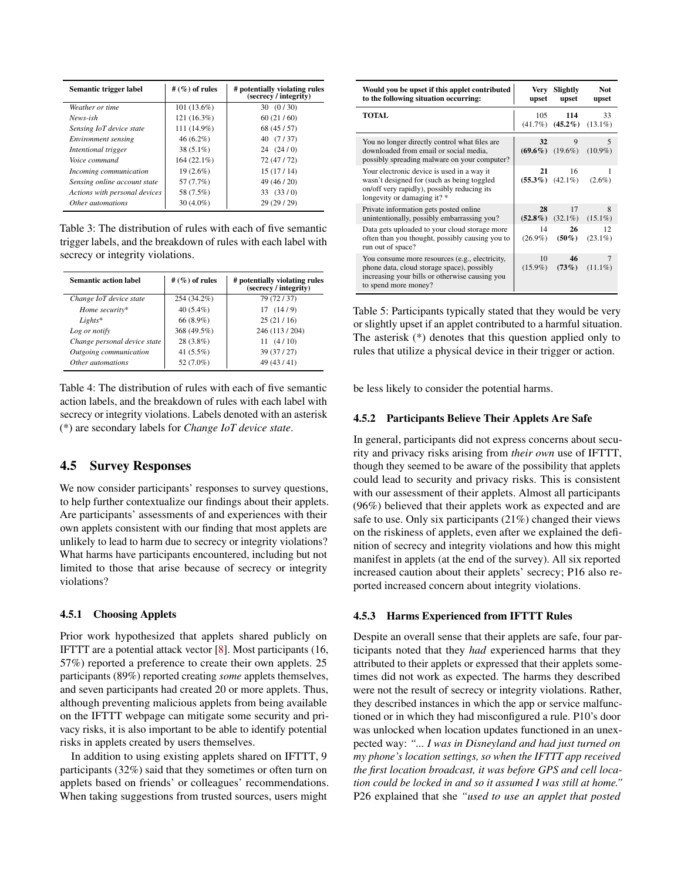<span id="page-8-0"></span>

| Semantic trigger label        | # $(\%)$ of rules | # potentially violating rules<br>(secrecy / integrity) |
|-------------------------------|-------------------|--------------------------------------------------------|
| Weather or time               | $101(13.6\%)$     | 30(0/30)                                               |
| News-ish                      | 121 (16.3%)       | 60(21/60)                                              |
| Sensing IoT device state      | 111 (14.9%)       | 68 (45 / 57)                                           |
| <i>Environment sensing</i>    | $46(6.2\%)$       | 40 (7/37)                                              |
| Intentional trigger           | $38(5.1\%)$       | 24(24/0)                                               |
| Voice command                 | $164(22.1\%)$     | 72 (47/72)                                             |
| Incoming communication        | 19 (2.6%)         | 15(17/14)                                              |
| Sensing online account state  | 57 (7.7%)         | 49 (46 / 20)                                           |
| Actions with personal devices | 58 (7.5%)         | 33(33/0)                                               |
| Other automations             | $30(4.0\%)$       | 29 (29 / 29)                                           |

Table 3: The distribution of rules with each of five semantic trigger labels, and the breakdown of rules with each label with secrecy or integrity violations.

<span id="page-8-1"></span>

| <b>Semantic action label</b> | # $(\%)$ of rules | # potentially violating rules<br>(secrecy / integrity) |
|------------------------------|-------------------|--------------------------------------------------------|
| Change IoT device state      | 254 (34.2%)       | 79 (72/37)                                             |
| Home security*               | 40 $(5.4\%)$      | 17(14/9)                                               |
| $Lights^*$                   | 66 (8.9%)         | 25(21/16)                                              |
| Log or notify                | 368 (49.5%)       | 246 (113/204)                                          |
| Change personal device state | $28(3.8\%)$       | 11(4/10)                                               |
| Outgoing communication       | 41 $(5.5\%)$      | 39 (37/27)                                             |
| Other automations            | 52 (7.0%)         | 49 (43/41)                                             |

Table 4: The distribution of rules with each of five semantic action labels, and the breakdown of rules with each label with secrecy or integrity violations. Labels denoted with an asterisk (\*) are secondary labels for *Change IoT device state*.

### 4.5 Survey Responses

We now consider participants' responses to survey questions, to help further contextualize our findings about their applets. Are participants' assessments of and experiences with their own applets consistent with our finding that most applets are unlikely to lead to harm due to secrecy or integrity violations? What harms have participants encountered, including but not limited to those that arise because of secrecy or integrity violations?

#### <span id="page-8-3"></span>4.5.1 Choosing Applets

Prior work hypothesized that applets shared publicly on IFTTT are a potential attack vector [\[8\]](#page-12-1). Most participants (16, 57%) reported a preference to create their own applets. 25 participants (89%) reported creating *some* applets themselves, and seven participants had created 20 or more applets. Thus, although preventing malicious applets from being available on the IFTTT webpage can mitigate some security and privacy risks, it is also important to be able to identify potential risks in applets created by users themselves.

In addition to using existing applets shared on IFTTT, 9 participants (32%) said that they sometimes or often turn on applets based on friends' or colleagues' recommendations. When taking suggestions from trusted sources, users might

<span id="page-8-2"></span>

| Would you be upset if this applet contributed<br>to the following situation occurring:                                                                                 | Very<br>upset    | Slightly<br>upset            | Not.<br>upset     |
|------------------------------------------------------------------------------------------------------------------------------------------------------------------------|------------------|------------------------------|-------------------|
| <b>TOTAL</b>                                                                                                                                                           | 105              | 114<br>$(41.7\%)$ $(45.2\%)$ | 33<br>$(13.1\%)$  |
| You no longer directly control what files are<br>downloaded from email or social media,<br>possibly spreading malware on your computer?                                | 32               | 9<br>$(69.6\%)$ $(19.6\%)$   | 5<br>$(10.9\%)$   |
| Your electronic device is used in a way it<br>wasn't designed for (such as being toggled<br>on/off very rapidly), possibly reducing its<br>longevity or damaging it?*  | 21               | 16<br>$(55.3\%)$ $(42.1\%)$  | 1<br>$(2.6\%)$    |
| Private information gets posted online<br>unintentionally, possibly embarrassing you?                                                                                  | 28               | 17<br>$(52.8\%)$ $(32.1\%)$  | 8<br>$(15.1\%)$   |
| Data gets uploaded to your cloud storage more<br>often than you thought, possibly causing you to<br>run out of space?                                                  | 14<br>$(26.9\%)$ | 26<br>$(50\%)$               | 12.<br>$(23.1\%)$ |
| You consume more resources (e.g., electricity,<br>phone data, cloud storage space), possibly<br>increasing your bills or otherwise causing you<br>to spend more money? | 10<br>$(15.9\%)$ | 46<br>(73%)                  | 7<br>$(11.1\%)$   |

Table 5: Participants typically stated that they would be very or slightly upset if an applet contributed to a harmful situation. The asterisk (\*) denotes that this question applied only to rules that utilize a physical device in their trigger or action.

be less likely to consider the potential harms.

#### <span id="page-8-5"></span>4.5.2 Participants Believe Their Applets Are Safe

In general, participants did not express concerns about security and privacy risks arising from *their own* use of IFTTT, though they seemed to be aware of the possibility that applets could lead to security and privacy risks. This is consistent with our assessment of their applets. Almost all participants (96%) believed that their applets work as expected and are safe to use. Only six participants (21%) changed their views on the riskiness of applets, even after we explained the definition of secrecy and integrity violations and how this might manifest in applets (at the end of the survey). All six reported increased caution about their applets' secrecy; P16 also reported increased concern about integrity violations.

#### <span id="page-8-4"></span>4.5.3 Harms Experienced from IFTTT Rules

Despite an overall sense that their applets are safe, four participants noted that they *had* experienced harms that they attributed to their applets or expressed that their applets sometimes did not work as expected. The harms they described were not the result of secrecy or integrity violations. Rather, they described instances in which the app or service malfunctioned or in which they had misconfigured a rule. P10's door was unlocked when location updates functioned in an unexpected way: *"... I was in Disneyland and had just turned on my phone's location settings, so when the IFTTT app received the first location broadcast, it was before GPS and cell location could be locked in and so it assumed I was still at home."* P26 explained that she *"used to use an applet that posted*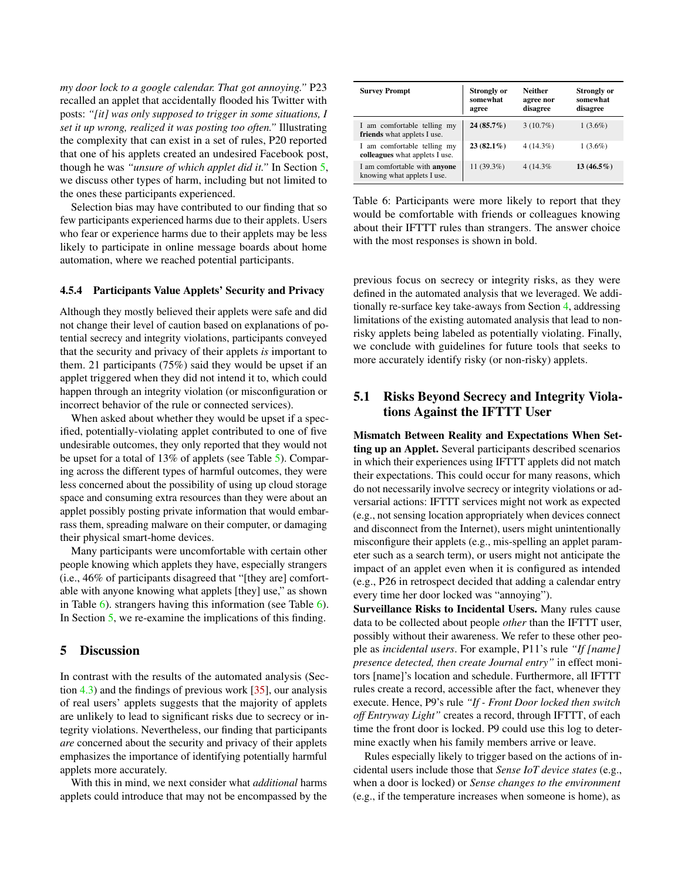*my door lock to a google calendar. That got annoying."* P23 recalled an applet that accidentally flooded his Twitter with posts: *"[it] was only supposed to trigger in some situations, I set it up wrong, realized it was posting too often."* Illustrating the complexity that can exist in a set of rules, P20 reported that one of his applets created an undesired Facebook post, though he was *"unsure of which applet did it."* In Section [5,](#page-9-0) we discuss other types of harm, including but not limited to the ones these participants experienced.

Selection bias may have contributed to our finding that so few participants experienced harms due to their applets. Users who fear or experience harms due to their applets may be less likely to participate in online message boards about home automation, where we reached potential participants.

### <span id="page-9-3"></span>4.5.4 Participants Value Applets' Security and Privacy

Although they mostly believed their applets were safe and did not change their level of caution based on explanations of potential secrecy and integrity violations, participants conveyed that the security and privacy of their applets *is* important to them. 21 participants (75%) said they would be upset if an applet triggered when they did not intend it to, which could happen through an integrity violation (or misconfiguration or incorrect behavior of the rule or connected services).

When asked about whether they would be upset if a specified, potentially-violating applet contributed to one of five undesirable outcomes, they only reported that they would not be upset for a total of 13% of applets (see Table [5\)](#page-8-2). Comparing across the different types of harmful outcomes, they were less concerned about the possibility of using up cloud storage space and consuming extra resources than they were about an applet possibly posting private information that would embarrass them, spreading malware on their computer, or damaging their physical smart-home devices.

Many participants were uncomfortable with certain other people knowing which applets they have, especially strangers (i.e., 46% of participants disagreed that "[they are] comfortable with anyone knowing what applets [they] use," as shown in Table [6\)](#page-9-1). strangers having this information (see Table [6\)](#page-9-1). In Section [5,](#page-9-0) we re-examine the implications of this finding.

### <span id="page-9-0"></span>5 Discussion

In contrast with the results of the automated analysis (Section [4.3\)](#page-5-0) and the findings of previous work [\[35\]](#page-13-0), our analysis of real users' applets suggests that the majority of applets are unlikely to lead to significant risks due to secrecy or integrity violations. Nevertheless, our finding that participants *are* concerned about the security and privacy of their applets emphasizes the importance of identifying potentially harmful applets more accurately.

With this in mind, we next consider what *additional* harms applets could introduce that may not be encompassed by the

<span id="page-9-1"></span>

| <b>Survey Prompt</b>                                               | <b>Strongly or</b><br>somewhat<br>agree | <b>Neither</b><br>agree nor<br>disagree | <b>Strongly or</b><br>somewhat<br>disagree |
|--------------------------------------------------------------------|-----------------------------------------|-----------------------------------------|--------------------------------------------|
| I am comfortable telling my<br><b>friends</b> what applets I use.  | $24(85.7\%)$                            | $3(10.7\%)$                             | $1(3.6\%)$                                 |
| I am comfortable telling my<br>colleagues what applets I use.      | $23(82.1\%)$                            | $4(14.3\%)$                             | $1(3.6\%)$                                 |
| I am comfortable with <b>anyone</b><br>knowing what applets I use. | 11 (39.3%)                              | 4 (14.3%)                               | $13(46.5\%)$                               |

Table 6: Participants were more likely to report that they would be comfortable with friends or colleagues knowing about their IFTTT rules than strangers. The answer choice with the most responses is shown in bold.

previous focus on secrecy or integrity risks, as they were defined in the automated analysis that we leveraged. We additionally re-surface key take-aways from Section [4,](#page-4-1) addressing limitations of the existing automated analysis that lead to nonrisky applets being labeled as potentially violating. Finally, we conclude with guidelines for future tools that seeks to more accurately identify risky (or non-risky) applets.

## <span id="page-9-2"></span>5.1 Risks Beyond Secrecy and Integrity Violations Against the IFTTT User

Mismatch Between Reality and Expectations When Setting up an Applet. Several participants described scenarios in which their experiences using IFTTT applets did not match their expectations. This could occur for many reasons, which do not necessarily involve secrecy or integrity violations or adversarial actions: IFTTT services might not work as expected (e.g., not sensing location appropriately when devices connect and disconnect from the Internet), users might unintentionally misconfigure their applets (e.g., mis-spelling an applet parameter such as a search term), or users might not anticipate the impact of an applet even when it is configured as intended (e.g., P26 in retrospect decided that adding a calendar entry every time her door locked was "annoying").

Surveillance Risks to Incidental Users. Many rules cause data to be collected about people *other* than the IFTTT user, possibly without their awareness. We refer to these other people as *incidental users*. For example, P11's rule *"If [name] presence detected, then create Journal entry"* in effect monitors [name]'s location and schedule. Furthermore, all IFTTT rules create a record, accessible after the fact, whenever they execute. Hence, P9's rule *"If - Front Door locked then switch off Entryway Light"* creates a record, through IFTTT, of each time the front door is locked. P9 could use this log to determine exactly when his family members arrive or leave.

Rules especially likely to trigger based on the actions of incidental users include those that *Sense IoT device states* (e.g., when a door is locked) or *Sense changes to the environment* (e.g., if the temperature increases when someone is home), as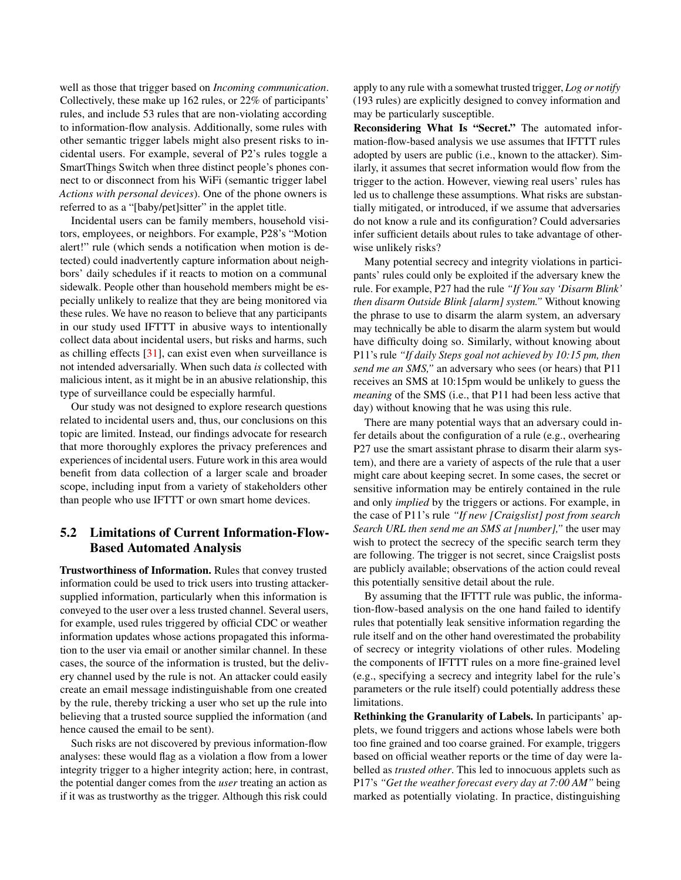well as those that trigger based on *Incoming communication*. Collectively, these make up 162 rules, or 22% of participants' rules, and include 53 rules that are non-violating according to information-flow analysis. Additionally, some rules with other semantic trigger labels might also present risks to incidental users. For example, several of P2's rules toggle a SmartThings Switch when three distinct people's phones connect to or disconnect from his WiFi (semantic trigger label *Actions with personal devices*). One of the phone owners is referred to as a "[baby/pet]sitter" in the applet title.

Incidental users can be family members, household visitors, employees, or neighbors. For example, P28's "Motion alert!" rule (which sends a notification when motion is detected) could inadvertently capture information about neighbors' daily schedules if it reacts to motion on a communal sidewalk. People other than household members might be especially unlikely to realize that they are being monitored via these rules. We have no reason to believe that any participants in our study used IFTTT in abusive ways to intentionally collect data about incidental users, but risks and harms, such as chilling effects [\[31\]](#page-13-18), can exist even when surveillance is not intended adversarially. When such data *is* collected with malicious intent, as it might be in an abusive relationship, this type of surveillance could be especially harmful.

Our study was not designed to explore research questions related to incidental users and, thus, our conclusions on this topic are limited. Instead, our findings advocate for research that more thoroughly explores the privacy preferences and experiences of incidental users. Future work in this area would benefit from data collection of a larger scale and broader scope, including input from a variety of stakeholders other than people who use IFTTT or own smart home devices.

## <span id="page-10-0"></span>5.2 Limitations of Current Information-Flow-Based Automated Analysis

Trustworthiness of Information. Rules that convey trusted information could be used to trick users into trusting attackersupplied information, particularly when this information is conveyed to the user over a less trusted channel. Several users, for example, used rules triggered by official CDC or weather information updates whose actions propagated this information to the user via email or another similar channel. In these cases, the source of the information is trusted, but the delivery channel used by the rule is not. An attacker could easily create an email message indistinguishable from one created by the rule, thereby tricking a user who set up the rule into believing that a trusted source supplied the information (and hence caused the email to be sent).

Such risks are not discovered by previous information-flow analyses: these would flag as a violation a flow from a lower integrity trigger to a higher integrity action; here, in contrast, the potential danger comes from the *user* treating an action as if it was as trustworthy as the trigger. Although this risk could

apply to any rule with a somewhat trusted trigger, *Log or notify* (193 rules) are explicitly designed to convey information and may be particularly susceptible.

Reconsidering What Is "Secret." The automated information-flow-based analysis we use assumes that IFTTT rules adopted by users are public (i.e., known to the attacker). Similarly, it assumes that secret information would flow from the trigger to the action. However, viewing real users' rules has led us to challenge these assumptions. What risks are substantially mitigated, or introduced, if we assume that adversaries do not know a rule and its configuration? Could adversaries infer sufficient details about rules to take advantage of otherwise unlikely risks?

Many potential secrecy and integrity violations in participants' rules could only be exploited if the adversary knew the rule. For example, P27 had the rule *"If You say 'Disarm Blink' then disarm Outside Blink [alarm] system."* Without knowing the phrase to use to disarm the alarm system, an adversary may technically be able to disarm the alarm system but would have difficulty doing so. Similarly, without knowing about P11's rule *"If daily Steps goal not achieved by 10:15 pm, then send me an SMS,"* an adversary who sees (or hears) that P11 receives an SMS at 10:15pm would be unlikely to guess the *meaning* of the SMS (i.e., that P11 had been less active that day) without knowing that he was using this rule.

There are many potential ways that an adversary could infer details about the configuration of a rule (e.g., overhearing P27 use the smart assistant phrase to disarm their alarm system), and there are a variety of aspects of the rule that a user might care about keeping secret. In some cases, the secret or sensitive information may be entirely contained in the rule and only *implied* by the triggers or actions. For example, in the case of P11's rule *"If new [Craigslist] post from search Search URL then send me an SMS at [number],"* the user may wish to protect the secrecy of the specific search term they are following. The trigger is not secret, since Craigslist posts are publicly available; observations of the action could reveal this potentially sensitive detail about the rule.

By assuming that the IFTTT rule was public, the information-flow-based analysis on the one hand failed to identify rules that potentially leak sensitive information regarding the rule itself and on the other hand overestimated the probability of secrecy or integrity violations of other rules. Modeling the components of IFTTT rules on a more fine-grained level (e.g., specifying a secrecy and integrity label for the rule's parameters or the rule itself) could potentially address these limitations.

Rethinking the Granularity of Labels. In participants' applets, we found triggers and actions whose labels were both too fine grained and too coarse grained. For example, triggers based on official weather reports or the time of day were labelled as *trusted other*. This led to innocuous applets such as P17's *"Get the weather forecast every day at 7:00 AM"* being marked as potentially violating. In practice, distinguishing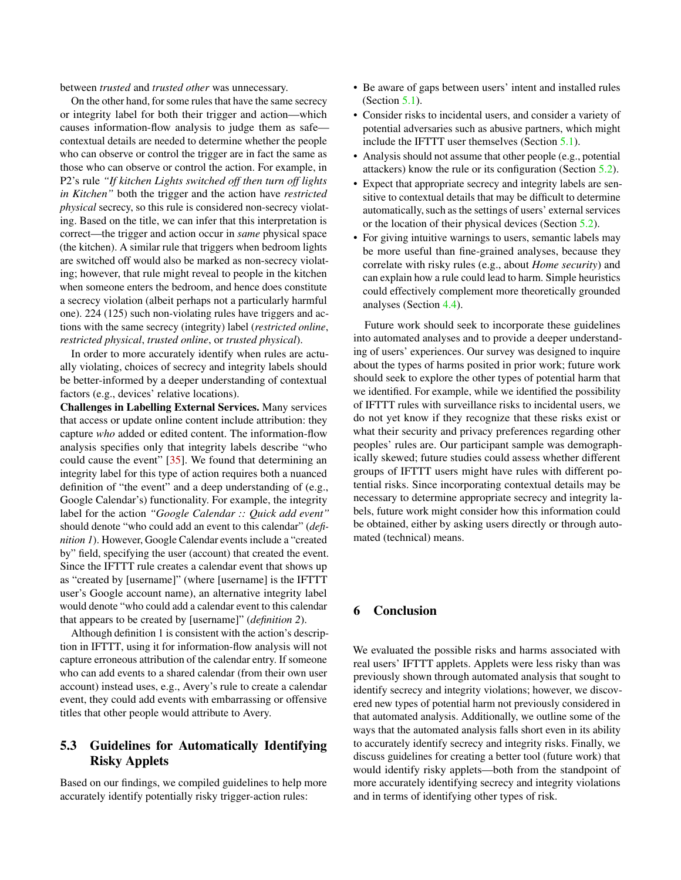between *trusted* and *trusted other* was unnecessary.

On the other hand, for some rules that have the same secrecy or integrity label for both their trigger and action—which causes information-flow analysis to judge them as safe contextual details are needed to determine whether the people who can observe or control the trigger are in fact the same as those who can observe or control the action. For example, in P2's rule *"If kitchen Lights switched off then turn off lights in Kitchen"* both the trigger and the action have *restricted physical* secrecy, so this rule is considered non-secrecy violating. Based on the title, we can infer that this interpretation is correct—the trigger and action occur in *same* physical space (the kitchen). A similar rule that triggers when bedroom lights are switched off would also be marked as non-secrecy violating; however, that rule might reveal to people in the kitchen when someone enters the bedroom, and hence does constitute a secrecy violation (albeit perhaps not a particularly harmful one). 224 (125) such non-violating rules have triggers and actions with the same secrecy (integrity) label (*restricted online*, *restricted physical*, *trusted online*, or *trusted physical*).

In order to more accurately identify when rules are actually violating, choices of secrecy and integrity labels should be better-informed by a deeper understanding of contextual factors (e.g., devices' relative locations).

Challenges in Labelling External Services. Many services that access or update online content include attribution: they capture *who* added or edited content. The information-flow analysis specifies only that integrity labels describe "who could cause the event" [\[35\]](#page-13-0). We found that determining an integrity label for this type of action requires both a nuanced definition of "the event" and a deep understanding of (e.g., Google Calendar's) functionality. For example, the integrity label for the action *"Google Calendar :: Quick add event"* should denote "who could add an event to this calendar" (*definition 1*). However, Google Calendar events include a "created by" field, specifying the user (account) that created the event. Since the IFTTT rule creates a calendar event that shows up as "created by [username]" (where [username] is the IFTTT user's Google account name), an alternative integrity label would denote "who could add a calendar event to this calendar that appears to be created by [username]" (*definition 2*).

Although definition 1 is consistent with the action's description in IFTTT, using it for information-flow analysis will not capture erroneous attribution of the calendar entry. If someone who can add events to a shared calendar (from their own user account) instead uses, e.g., Avery's rule to create a calendar event, they could add events with embarrassing or offensive titles that other people would attribute to Avery.

## 5.3 Guidelines for Automatically Identifying Risky Applets

Based on our findings, we compiled guidelines to help more accurately identify potentially risky trigger-action rules:

- Be aware of gaps between users' intent and installed rules (Section  $5.1$ ).
- Consider risks to incidental users, and consider a variety of potential adversaries such as abusive partners, which might include the IFTTT user themselves (Section [5.1\)](#page-9-2).
- Analysis should not assume that other people (e.g., potential attackers) know the rule or its configuration (Section [5.2\)](#page-10-0).
- Expect that appropriate secrecy and integrity labels are sensitive to contextual details that may be difficult to determine automatically, such as the settings of users' external services or the location of their physical devices (Section [5.2\)](#page-10-0).
- For giving intuitive warnings to users, semantic labels may be more useful than fine-grained analyses, because they correlate with risky rules (e.g., about *Home security*) and can explain how a rule could lead to harm. Simple heuristics could effectively complement more theoretically grounded analyses (Section [4.4\)](#page-5-1).

Future work should seek to incorporate these guidelines into automated analyses and to provide a deeper understanding of users' experiences. Our survey was designed to inquire about the types of harms posited in prior work; future work should seek to explore the other types of potential harm that we identified. For example, while we identified the possibility of IFTTT rules with surveillance risks to incidental users, we do not yet know if they recognize that these risks exist or what their security and privacy preferences regarding other peoples' rules are. Our participant sample was demographically skewed; future studies could assess whether different groups of IFTTT users might have rules with different potential risks. Since incorporating contextual details may be necessary to determine appropriate secrecy and integrity labels, future work might consider how this information could be obtained, either by asking users directly or through automated (technical) means.

## 6 Conclusion

We evaluated the possible risks and harms associated with real users' IFTTT applets. Applets were less risky than was previously shown through automated analysis that sought to identify secrecy and integrity violations; however, we discovered new types of potential harm not previously considered in that automated analysis. Additionally, we outline some of the ways that the automated analysis falls short even in its ability to accurately identify secrecy and integrity risks. Finally, we discuss guidelines for creating a better tool (future work) that would identify risky applets—both from the standpoint of more accurately identifying secrecy and integrity violations and in terms of identifying other types of risk.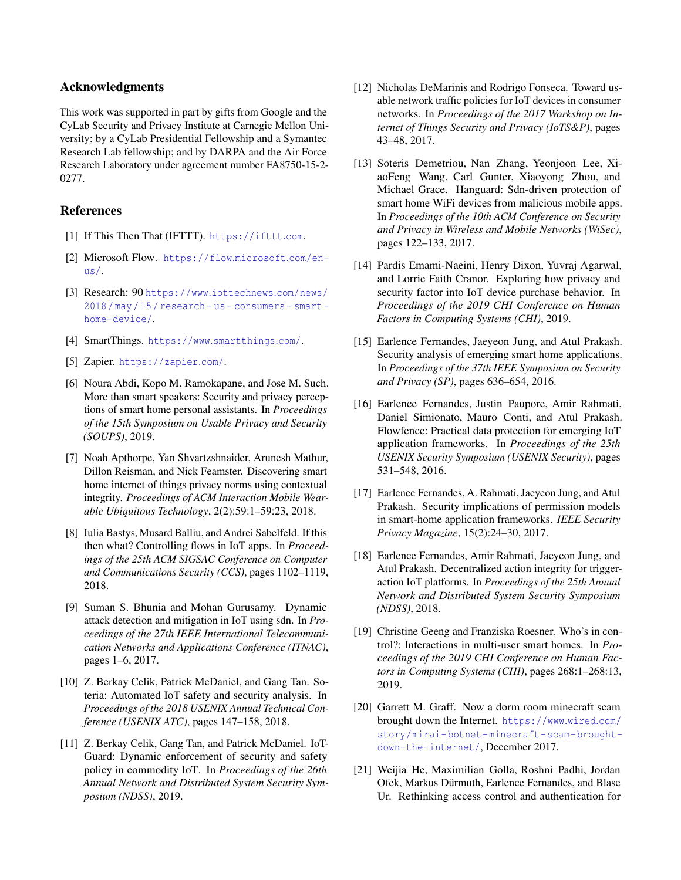### Acknowledgments

This work was supported in part by gifts from Google and the CyLab Security and Privacy Institute at Carnegie Mellon University; by a CyLab Presidential Fellowship and a Symantec Research Lab fellowship; and by DARPA and the Air Force Research Laboratory under agreement number FA8750-15-2- 0277.

### References

- <span id="page-12-17"></span>[1] If This Then That (IFTTT). [https://ifttt](https://ifttt.com).com.
- <span id="page-12-18"></span>[2] Microsoft Flow. [https://flow](https://flow.microsoft.com/en-us/).microsoft.com/en[us/](https://flow.microsoft.com/en-us/).
- <span id="page-12-0"></span>[3] Research: 90 [https://www](https://www.iottechnews.com/news/2018/may/15/research-us-consumers-smart-home-device/).iottechnews.com/news/ [2018 / may / 15 / research - us - consumers - smart](https://www.iottechnews.com/news/2018/may/15/research-us-consumers-smart-home-device/)  [home-device/](https://www.iottechnews.com/news/2018/may/15/research-us-consumers-smart-home-device/).
- <span id="page-12-4"></span>[4] SmartThings. [https://www](https://www.smartthings.com/).smartthings.com/.
- <span id="page-12-19"></span>[5] Zapier. [https://zapier](https://zapier.com/).com/.
- <span id="page-12-12"></span>[6] Noura Abdi, Kopo M. Ramokapane, and Jose M. Such. More than smart speakers: Security and privacy perceptions of smart home personal assistants. In *Proceedings of the 15th Symposium on Usable Privacy and Security (SOUPS)*, 2019.
- <span id="page-12-13"></span>[7] Noah Apthorpe, Yan Shvartzshnaider, Arunesh Mathur, Dillon Reisman, and Nick Feamster. Discovering smart home internet of things privacy norms using contextual integrity. *Proceedings of ACM Interaction Mobile Wearable Ubiquitous Technology*, 2(2):59:1–59:23, 2018.
- <span id="page-12-1"></span>[8] Iulia Bastys, Musard Balliu, and Andrei Sabelfeld. If this then what? Controlling flows in IoT apps. In *Proceedings of the 25th ACM SIGSAC Conference on Computer and Communications Security (CCS)*, pages 1102–1119, 2018.
- <span id="page-12-8"></span>[9] Suman S. Bhunia and Mohan Gurusamy. Dynamic attack detection and mitigation in IoT using sdn. In *Proceedings of the 27th IEEE International Telecommunication Networks and Applications Conference (ITNAC)*, pages 1–6, 2017.
- <span id="page-12-2"></span>[10] Z. Berkay Celik, Patrick McDaniel, and Gang Tan. Soteria: Automated IoT safety and security analysis. In *Proceedings of the 2018 USENIX Annual Technical Conference (USENIX ATC)*, pages 147–158, 2018.
- <span id="page-12-3"></span>[11] Z. Berkay Celik, Gang Tan, and Patrick McDaniel. IoT-Guard: Dynamic enforcement of security and safety policy in commodity IoT. In *Proceedings of the 26th Annual Network and Distributed System Security Symposium (NDSS)*, 2019.
- <span id="page-12-9"></span>[12] Nicholas DeMarinis and Rodrigo Fonseca. Toward usable network traffic policies for IoT devices in consumer networks. In *Proceedings of the 2017 Workshop on Internet of Things Security and Privacy (IoTS&P)*, pages 43–48, 2017.
- <span id="page-12-10"></span>[13] Soteris Demetriou, Nan Zhang, Yeonjoon Lee, XiaoFeng Wang, Carl Gunter, Xiaoyong Zhou, and Michael Grace. Hanguard: Sdn-driven protection of smart home WiFi devices from malicious mobile apps. In *Proceedings of the 10th ACM Conference on Security and Privacy in Wireless and Mobile Networks (WiSec)*, pages 122–133, 2017.
- <span id="page-12-14"></span>[14] Pardis Emami-Naeini, Henry Dixon, Yuvraj Agarwal, and Lorrie Faith Cranor. Exploring how privacy and security factor into IoT device purchase behavior. In *Proceedings of the 2019 CHI Conference on Human Factors in Computing Systems (CHI)*, 2019.
- <span id="page-12-5"></span>[15] Earlence Fernandes, Jaeyeon Jung, and Atul Prakash. Security analysis of emerging smart home applications. In *Proceedings of the 37th IEEE Symposium on Security and Privacy (SP)*, pages 636–654, 2016.
- <span id="page-12-7"></span>[16] Earlence Fernandes, Justin Paupore, Amir Rahmati, Daniel Simionato, Mauro Conti, and Atul Prakash. Flowfence: Practical data protection for emerging IoT application frameworks. In *Proceedings of the 25th USENIX Security Symposium (USENIX Security)*, pages 531–548, 2016.
- <span id="page-12-6"></span>[17] Earlence Fernandes, A. Rahmati, Jaeyeon Jung, and Atul Prakash. Security implications of permission models in smart-home application frameworks. *IEEE Security Privacy Magazine*, 15(2):24–30, 2017.
- <span id="page-12-20"></span>[18] Earlence Fernandes, Amir Rahmati, Jaeyeon Jung, and Atul Prakash. Decentralized action integrity for triggeraction IoT platforms. In *Proceedings of the 25th Annual Network and Distributed System Security Symposium (NDSS)*, 2018.
- <span id="page-12-15"></span>[19] Christine Geeng and Franziska Roesner. Who's in control?: Interactions in multi-user smart homes. In *Proceedings of the 2019 CHI Conference on Human Factors in Computing Systems (CHI)*, pages 268:1–268:13, 2019.
- <span id="page-12-11"></span>[20] Garrett M. Graff. Now a dorm room minecraft scam brought down the Internet. [https://www](https://www.wired.com/story/mirai-botnet-minecraft-scam-brought-down-the-internet/).wired.com/ [story/mirai-botnet-minecraft-scam-brought](https://www.wired.com/story/mirai-botnet-minecraft-scam-brought-down-the-internet/)[down-the-internet/](https://www.wired.com/story/mirai-botnet-minecraft-scam-brought-down-the-internet/), December 2017.
- <span id="page-12-16"></span>[21] Weijia He, Maximilian Golla, Roshni Padhi, Jordan Ofek, Markus Dürmuth, Earlence Fernandes, and Blase Ur. Rethinking access control and authentication for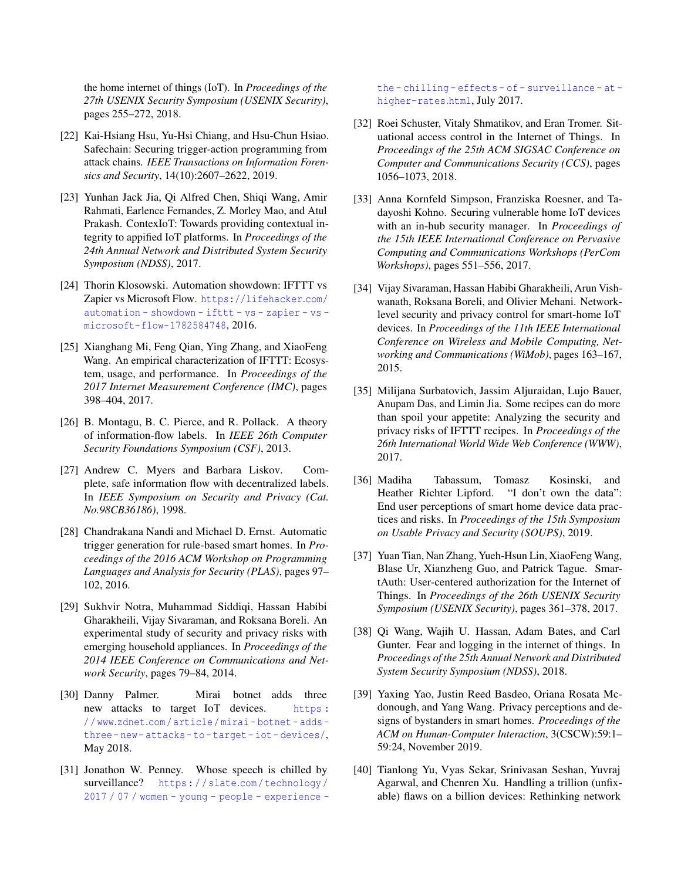the home internet of things (IoT). In *Proceedings of the 27th USENIX Security Symposium (USENIX Security)*, pages 255–272, 2018.

- <span id="page-13-15"></span>[22] Kai-Hsiang Hsu, Yu-Hsi Chiang, and Hsu-Chun Hsiao. Safechain: Securing trigger-action programming from attack chains. *IEEE Transactions on Information Forensics and Security*, 14(10):2607–2622, 2019.
- <span id="page-13-4"></span>[23] Yunhan Jack Jia, Qi Alfred Chen, Shiqi Wang, Amir Rahmati, Earlence Fernandes, Z. Morley Mao, and Atul Prakash. ContexIoT: Towards providing contextual integrity to appified IoT platforms. In *Proceedings of the 24th Annual Network and Distributed System Security Symposium (NDSS)*, 2017.
- <span id="page-13-14"></span>[24] Thorin Klosowski. Automation showdown: IFTTT vs Zapier vs Microsoft Flow. [https://lifehacker](https://lifehacker.com/automation-showdown-ifttt-vs-zapier-vs-microsoft-flow-1782584748).com/ [automation - showdown - ifttt - vs - zapier - vs](https://lifehacker.com/automation-showdown-ifttt-vs-zapier-vs-microsoft-flow-1782584748)  [microsoft-flow-1782584748](https://lifehacker.com/automation-showdown-ifttt-vs-zapier-vs-microsoft-flow-1782584748), 2016.
- <span id="page-13-3"></span>[25] Xianghang Mi, Feng Qian, Ying Zhang, and XiaoFeng Wang. An empirical characterization of IFTTT: Ecosystem, usage, and performance. In *Proceedings of the 2017 Internet Measurement Conference (IMC)*, pages 398–404, 2017.
- <span id="page-13-16"></span>[26] B. Montagu, B. C. Pierce, and R. Pollack. A theory of information-flow labels. In *IEEE 26th Computer Security Foundations Symposium (CSF)*, 2013.
- <span id="page-13-17"></span>[27] Andrew C. Myers and Barbara Liskov. Complete, safe information flow with decentralized labels. In *IEEE Symposium on Security and Privacy (Cat. No.98CB36186)*, 1998.
- <span id="page-13-1"></span>[28] Chandrakana Nandi and Michael D. Ernst. Automatic trigger generation for rule-based smart homes. In *Proceedings of the 2016 ACM Workshop on Programming Languages and Analysis for Security (PLAS)*, pages 97– 102, 2016.
- <span id="page-13-6"></span>[29] Sukhvir Notra, Muhammad Siddiqi, Hassan Habibi Gharakheili, Vijay Sivaraman, and Roksana Boreli. An experimental study of security and privacy risks with emerging household appliances. In *Proceedings of the 2014 IEEE Conference on Communications and Network Security*, pages 79–84, 2014.
- <span id="page-13-10"></span>[30] Danny Palmer. Mirai botnet adds three new attacks to target IoT devices. [https :](https://www.zdnet.com/article/mirai-botnet-adds-three-new-attacks-to-target-iot-devices/) / / www.zdnet.[com / article / mirai - botnet - adds](https://www.zdnet.com/article/mirai-botnet-adds-three-new-attacks-to-target-iot-devices/)  [three- new- attacks- to- target- iot- devices/](https://www.zdnet.com/article/mirai-botnet-adds-three-new-attacks-to-target-iot-devices/), May 2018.
- <span id="page-13-18"></span>[31] Jonathon W. Penney. Whose speech is chilled by surveillance? https : / / slate.[com / technology /](https://slate.com/technology/2017/07/women-young-people-experience-the-chilling-effects-of-surveillance-at-higher-rates.html) [2017 / 07 / women - young - people - experience -](https://slate.com/technology/2017/07/women-young-people-experience-the-chilling-effects-of-surveillance-at-higher-rates.html)

[the - chilling - effects - of - surveillance - at](https://slate.com/technology/2017/07/women-young-people-experience-the-chilling-effects-of-surveillance-at-higher-rates.html)  [higher-rates](https://slate.com/technology/2017/07/women-young-people-experience-the-chilling-effects-of-surveillance-at-higher-rates.html).html, July 2017.

- <span id="page-13-13"></span>[32] Roei Schuster, Vitaly Shmatikov, and Eran Tromer. Situational access control in the Internet of Things. In *Proceedings of the 25th ACM SIGSAC Conference on Computer and Communications Security (CCS)*, pages 1056–1073, 2018.
- <span id="page-13-7"></span>[33] Anna Kornfeld Simpson, Franziska Roesner, and Tadayoshi Kohno. Securing vulnerable home IoT devices with an in-hub security manager. In *Proceedings of the 15th IEEE International Conference on Pervasive Computing and Communications Workshops (PerCom Workshops)*, pages 551–556, 2017.
- <span id="page-13-8"></span>[34] Vijay Sivaraman, Hassan Habibi Gharakheili, Arun Vishwanath, Roksana Boreli, and Olivier Mehani. Networklevel security and privacy control for smart-home IoT devices. In *Proceedings of the 11th IEEE International Conference on Wireless and Mobile Computing, Networking and Communications (WiMob)*, pages 163–167, 2015.
- <span id="page-13-0"></span>[35] Milijana Surbatovich, Jassim Aljuraidan, Lujo Bauer, Anupam Das, and Limin Jia. Some recipes can do more than spoil your appetite: Analyzing the security and privacy risks of IFTTT recipes. In *Proceedings of the 26th International World Wide Web Conference (WWW)*, 2017.
- <span id="page-13-11"></span>[36] Madiha Tabassum, Tomasz Kosinski, and Heather Richter Lipford. "I don't own the data": End user perceptions of smart home device data practices and risks. In *Proceedings of the 15th Symposium on Usable Privacy and Security (SOUPS)*, 2019.
- <span id="page-13-5"></span>[37] Yuan Tian, Nan Zhang, Yueh-Hsun Lin, XiaoFeng Wang, Blase Ur, Xianzheng Guo, and Patrick Tague. SmartAuth: User-centered authorization for the Internet of Things. In *Proceedings of the 26th USENIX Security Symposium (USENIX Security)*, pages 361–378, 2017.
- <span id="page-13-2"></span>[38] Qi Wang, Wajih U. Hassan, Adam Bates, and Carl Gunter. Fear and logging in the internet of things. In *Proceedings of the 25th Annual Network and Distributed System Security Symposium (NDSS)*, 2018.
- <span id="page-13-12"></span>[39] Yaxing Yao, Justin Reed Basdeo, Oriana Rosata Mcdonough, and Yang Wang. Privacy perceptions and designs of bystanders in smart homes. *Proceedings of the ACM on Human-Computer Interaction*, 3(CSCW):59:1– 59:24, November 2019.
- <span id="page-13-9"></span>[40] Tianlong Yu, Vyas Sekar, Srinivasan Seshan, Yuvraj Agarwal, and Chenren Xu. Handling a trillion (unfixable) flaws on a billion devices: Rethinking network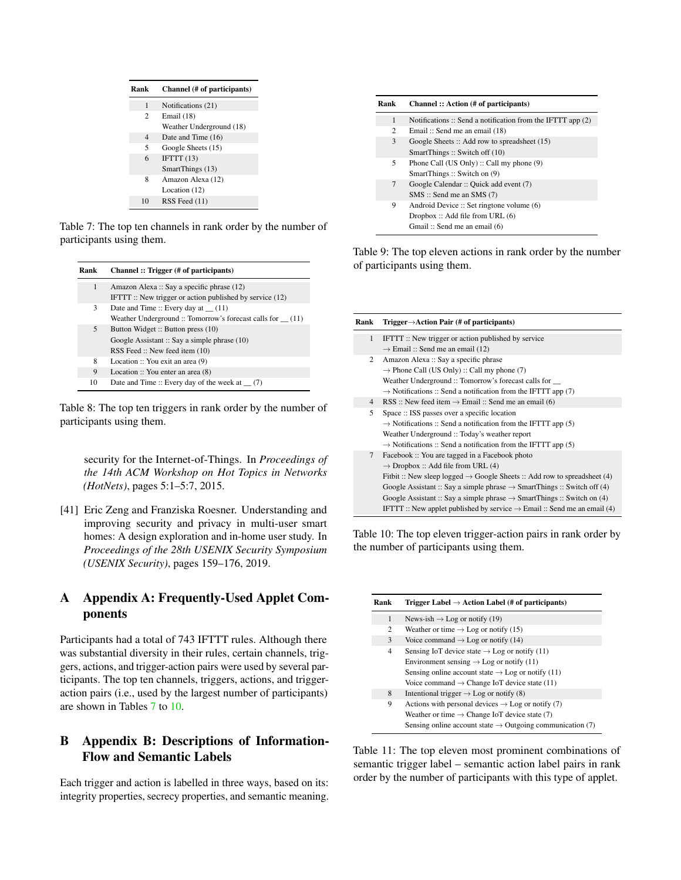<span id="page-14-3"></span>

| Rank           | Channel (# of participants) |
|----------------|-----------------------------|
| 1              | Notifications (21)          |
| $\overline{c}$ | Email (18)                  |
|                | Weather Underground (18)    |
| 4              | Date and Time (16)          |
| 5              | Google Sheets (15)          |
| 6              | IFTTT(13)                   |
|                | SmartThings (13)            |
| 8              | Amazon Alexa (12)           |
|                | Location (12)               |
| 10             | RSS Feed (11)               |

Table 7: The top ten channels in rank order by the number of participants using them.

| Rank | Channel: Trigger (# of participants)                                                                               |
|------|--------------------------------------------------------------------------------------------------------------------|
| 1    | Amazon Alexa: Say a specific phrase (12)<br>IFTTT:: New trigger or action published by service $(12)$              |
| 3    | Date and Time:: Every day at $(11)$<br>Weather Underground :: Tomorrow's forecast calls for (11)                   |
| 5    | Button Widget: Button press (10)<br>Google Assistant :: Say a simple phrase (10)<br>RSS Feed :: New feed item (10) |
| 8    | Location :: You exit an area (9)                                                                                   |
| 9    | Location $::$ You enter an area $(8)$                                                                              |
| 10   | Date and Time :: Every day of the week at $(7)$                                                                    |

Table 8: The top ten triggers in rank order by the number of participants using them.

security for the Internet-of-Things. In *Proceedings of the 14th ACM Workshop on Hot Topics in Networks (HotNets)*, pages 5:1–5:7, 2015.

<span id="page-14-0"></span>[41] Eric Zeng and Franziska Roesner. Understanding and improving security and privacy in multi-user smart homes: A design exploration and in-home user study. In *Proceedings of the 28th USENIX Security Symposium (USENIX Security)*, pages 159–176, 2019.

## <span id="page-14-2"></span>A Appendix A: Frequently-Used Applet Components

Participants had a total of 743 IFTTT rules. Although there was substantial diversity in their rules, certain channels, triggers, actions, and trigger-action pairs were used by several participants. The top ten channels, triggers, actions, and triggeraction pairs (i.e., used by the largest number of participants) are shown in Tables [7](#page-14-3) to [10.](#page-14-4)

## <span id="page-14-1"></span>B Appendix B: Descriptions of Information-Flow and Semantic Labels

Each trigger and action is labelled in three ways, based on its: integrity properties, secrecy properties, and semantic meaning.

| Rank | Channel :: Action (# of participants)                       |
|------|-------------------------------------------------------------|
| 1    | Notifications :: Send a notification from the IFTTT app (2) |
| 2    | Email: Send me an email (18)                                |
| 3    | Google Sheets: Add row to spreadsheet (15)                  |
|      | SmartThings: Switch off (10)                                |
| 5    | Phone Call (US Only) :: Call my phone (9)                   |
|      | SmartThings: Switch on (9)                                  |
| 7    | Google Calendar :: Quick add event (7)                      |
|      | $SMS ::$ Send me an SMS $(7)$                               |
| 9    | Android Device :: Set ringtone volume (6)                   |
|      | Dropbox::Add file from URL (6)                              |
|      | Gmail: Send me an email (6)                                 |

Table 9: The top eleven actions in rank order by the number of participants using them.

<span id="page-14-4"></span>

| Rank           | Trigger $\rightarrow$ Action Pair (# of participants)                                       |
|----------------|---------------------------------------------------------------------------------------------|
| $\mathbf{1}$   | IFTTT:: New trigger or action published by service                                          |
|                | $\rightarrow$ Email :: Send me an email (12)                                                |
| 2              | Amazon Alexa: Say a specific phrase                                                         |
|                | $\rightarrow$ Phone Call (US Only) :: Call my phone (7)                                     |
|                | Weather Underground :: Tomorrow's forecast calls for __                                     |
|                | $\rightarrow$ Notifications :: Send a notification from the IFTTT app (7)                   |
| $\overline{4}$ | RSS :: New feed item $\rightarrow$ Email :: Send me an email (6)                            |
| 5              | Space :: ISS passes over a specific location                                                |
|                | $\rightarrow$ Notifications :: Send a notification from the IFTTT app (5)                   |
|                | Weather Underground :: Today's weather report                                               |
|                | $\rightarrow$ Notifications :: Send a notification from the IFTTT app (5)                   |
| $\tau$         | Facebook :: You are tagged in a Facebook photo                                              |
|                | $\rightarrow$ Dropbox :: Add file from URL (4)                                              |
|                | Fithit :: New sleep logged $\rightarrow$ Google Sheets :: Add row to spreadsheet (4)        |
|                | Google Assistant :: Say a simple phrase $\rightarrow$ SmartThings :: Switch off (4)         |
|                | Google Assistant :: Say a simple phrase $\rightarrow$ SmartThings :: Switch on (4)          |
|                | <b>IFTTT</b> :: New applet published by service $\rightarrow$ Email :: Send me an email (4) |

Table 10: The top eleven trigger-action pairs in rank order by the number of participants using them.

| Rank | Trigger Label $\rightarrow$ Action Label (# of participants)          |
|------|-----------------------------------------------------------------------|
| 1    | News-ish $\rightarrow$ Log or notify (19)                             |
| 2    | Weather or time $\rightarrow$ Log or notify (15)                      |
| 3    | Voice command $\rightarrow$ Log or notify (14)                        |
| 4    | Sensing IoT device state $\rightarrow$ Log or notify (11)             |
|      | Environment sensing $\rightarrow$ Log or notify (11)                  |
|      | Sensing online account state $\rightarrow$ Log or notify (11)         |
|      | Voice command $\rightarrow$ Change IoT device state (11)              |
| 8    | Intentional trigger $\rightarrow$ Log or notify (8)                   |
| 9    | Actions with personal devices $\rightarrow$ Log or notify (7)         |
|      | Weather or time $\rightarrow$ Change IoT device state (7)             |
|      | Sensing online account state $\rightarrow$ Outgoing communication (7) |

Table 11: The top eleven most prominent combinations of semantic trigger label – semantic action label pairs in rank order by the number of participants with this type of applet.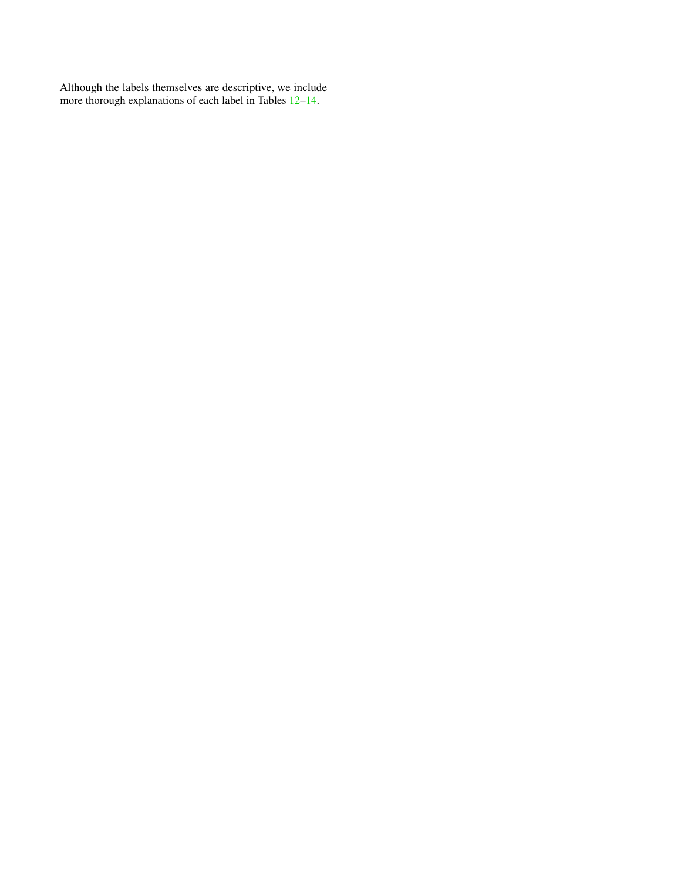Although the labels themselves are descriptive, we include more thorough explanations of each label in Tables  $12-14$ .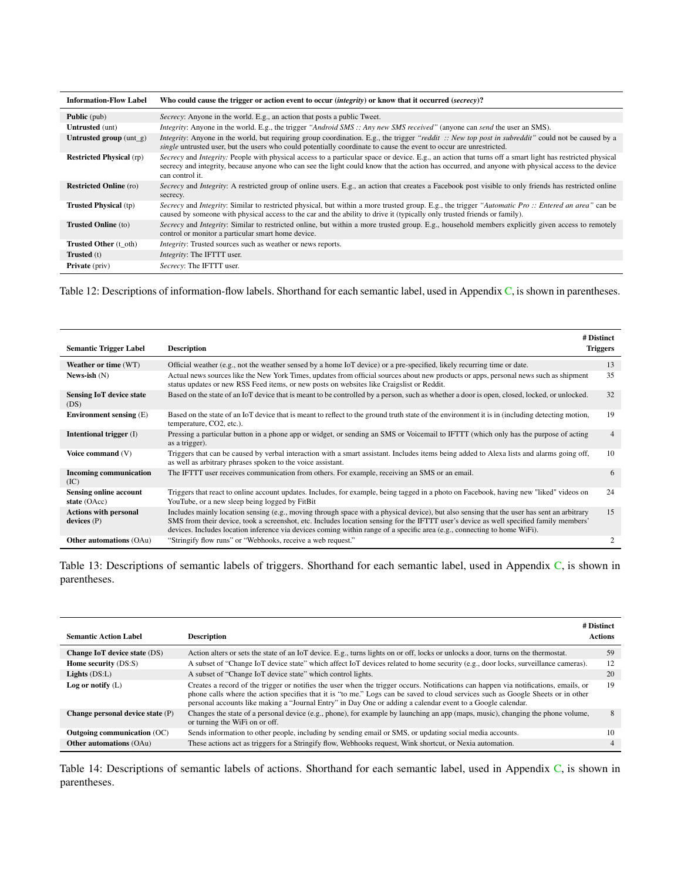<span id="page-16-0"></span>

| <b>Information-Flow Label</b>   | Who could cause the trigger or action event to occur <i>(integrity)</i> or know that it occurred <i>(secrecy)</i> ?                                                                                                                                                                                                               |
|---------------------------------|-----------------------------------------------------------------------------------------------------------------------------------------------------------------------------------------------------------------------------------------------------------------------------------------------------------------------------------|
| <b>Public</b> (pub)             | Secrecy: Anyone in the world. E.g., an action that posts a public Tweet.                                                                                                                                                                                                                                                          |
| <b>Untrusted</b> (unt)          | <i>Integrity:</i> Anyone in the world. E.g., the trigger "Android SMS :: Any new SMS received" (anyone can send the user an SMS).                                                                                                                                                                                                 |
| Untrusted group $(unt_g)$       | <i>Integrity</i> : Anyone in the world, but requiring group coordination. E.g., the trigger "reddit :: New top post in subreddit" could not be caused by a<br>single untrusted user, but the users who could potentially coordinate to cause the event to occur are unrestricted.                                                 |
| <b>Restricted Physical</b> (rp) | Secrecy and Integrity: People with physical access to a particular space or device. E.g., an action that turns off a smart light has restricted physical<br>secrecy and integrity, because anyone who can see the light could know that the action has occurred, and anyone with physical access to the device<br>can control it. |
| <b>Restricted Online</b> (ro)   | Secrecy and Integrity: A restricted group of online users. E.g., an action that creates a Facebook post visible to only friends has restricted online<br>secrecy.                                                                                                                                                                 |
| <b>Trusted Physical</b> (tp)    | Secrecy and Integrity: Similar to restricted physical, but within a more trusted group. E.g., the trigger "Automatic Pro :: Entered an area" can be<br>caused by someone with physical access to the car and the ability to drive it (typically only trusted friends or family).                                                  |
| <b>Trusted Online</b> (to)      | Secrecy and Integrity: Similar to restricted online, but within a more trusted group. E.g., household members explicitly given access to remotely<br>control or monitor a particular smart home device.                                                                                                                           |
| <b>Trusted Other</b> (t oth)    | <i>Integrity</i> : Trusted sources such as weather or news reports.                                                                                                                                                                                                                                                               |
| <b>Trusted</b> (t)              | <i>Integrity:</i> The IFTTT user.                                                                                                                                                                                                                                                                                                 |
| <b>Private</b> (priv)           | Secrecy: The IFTTT user.                                                                                                                                                                                                                                                                                                          |

Table 12: Descriptions of information-flow labels. Shorthand for each semantic label, used in Appendix [C,](#page-17-0) is shown in parentheses.

|                                               |                                                                                                                                                                                                                                                                                                                                                                                                                  | # Distinct      |
|-----------------------------------------------|------------------------------------------------------------------------------------------------------------------------------------------------------------------------------------------------------------------------------------------------------------------------------------------------------------------------------------------------------------------------------------------------------------------|-----------------|
| <b>Semantic Trigger Label</b>                 | <b>Description</b>                                                                                                                                                                                                                                                                                                                                                                                               | <b>Triggers</b> |
| Weather or time (WT)                          | Official weather (e.g., not the weather sensed by a home IoT device) or a pre-specified, likely recurring time or date.                                                                                                                                                                                                                                                                                          | 13              |
| News-ish $(N)$                                | Actual news sources like the New York Times, updates from official sources about new products or apps, personal news such as shipment<br>status updates or new RSS Feed items, or new posts on websites like Craigslist or Reddit.                                                                                                                                                                               | 35              |
| <b>Sensing IoT device state</b><br>(DS)       | Based on the state of an IoT device that is meant to be controlled by a person, such as whether a door is open, closed, locked, or unlocked.                                                                                                                                                                                                                                                                     | 32              |
| Environment sensing $(E)$                     | Based on the state of an IoT device that is meant to reflect to the ground truth state of the environment it is in (including detecting motion,<br>temperature, CO2, etc.).                                                                                                                                                                                                                                      | 19              |
| <b>Intentional trigger</b> (I)                | Pressing a particular button in a phone app or widget, or sending an SMS or Voicemail to IFTTT (which only has the purpose of acting<br>as a trigger).                                                                                                                                                                                                                                                           | $\overline{4}$  |
| Voice command (V)                             | Triggers that can be caused by verbal interaction with a smart assistant. Includes items being added to Alexa lists and alarms going off,<br>as well as arbitrary phrases spoken to the voice assistant.                                                                                                                                                                                                         | 10              |
| <b>Incoming communication</b><br>(IC)         | The IFTTT user receives communication from others. For example, receiving an SMS or an email.                                                                                                                                                                                                                                                                                                                    | 6               |
| <b>Sensing online account</b><br>state (OAcc) | Triggers that react to online account updates. Includes, for example, being tagged in a photo on Facebook, having new "liked" videos on<br>YouTube, or a new sleep being logged by FitBit                                                                                                                                                                                                                        | 24              |
| <b>Actions with personal</b><br>devices(P)    | Includes mainly location sensing (e.g., moving through space with a physical device), but also sensing that the user has sent an arbitrary<br>SMS from their device, took a screenshot, etc. Includes location sensing for the IFTTT user's device as well specified family members'<br>devices. Includes location inference via devices coming within range of a specific area (e.g., connecting to home WiFi). | 15              |
| <b>Other automations (OAu)</b>                | "Stringify flow runs" or "Webhooks, receive a web request."                                                                                                                                                                                                                                                                                                                                                      | 2               |

Table 13: Descriptions of semantic labels of triggers. Shorthand for each semantic label, used in Appendix [C,](#page-17-0) is shown in parentheses.

<span id="page-16-1"></span>

| <b>Semantic Action Label</b>     | <b>Description</b>                                                                                                                                                                                                                                                                                                                                                                      | # Distinct<br><b>Actions</b> |
|----------------------------------|-----------------------------------------------------------------------------------------------------------------------------------------------------------------------------------------------------------------------------------------------------------------------------------------------------------------------------------------------------------------------------------------|------------------------------|
| Change IoT device state (DS)     | Action alters or sets the state of an IoT device. E.g., turns lights on or off, locks or unlocks a door, turns on the thermostat.                                                                                                                                                                                                                                                       | 59                           |
| <b>Home security (DS:S)</b>      | A subset of "Change IoT device state" which affect IoT devices related to home security (e.g., door locks, surveillance cameras).                                                                                                                                                                                                                                                       | 12                           |
| Lights $(DS:L)$                  | A subset of "Change IoT device state" which control lights.                                                                                                                                                                                                                                                                                                                             | 20                           |
| Log or notify $(L)$              | Creates a record of the trigger or notifies the user when the trigger occurs. Notifications can happen via notifications, emails, or<br>phone calls where the action specifies that it is "to me." Logs can be saved to cloud services such as Google Sheets or in other<br>personal accounts like making a "Journal Entry" in Day One or adding a calendar event to a Google calendar. | 19                           |
| Change personal device state (P) | Changes the state of a personal device (e.g., phone), for example by launching an app (maps, music), changing the phone volume,<br>or turning the WiFi on or off.                                                                                                                                                                                                                       | 8                            |
| Outgoing communication (OC)      | Sends information to other people, including by sending email or SMS, or updating social media accounts.                                                                                                                                                                                                                                                                                | 10                           |
| <b>Other automations (OAu)</b>   | These actions act as triggers for a Stringify flow, Webhooks request, Wink shortcut, or Nexia automation.                                                                                                                                                                                                                                                                               |                              |

Table 14: Descriptions of semantic labels of actions. Shorthand for each semantic label, used in Appendix [C,](#page-17-0) is shown in parentheses.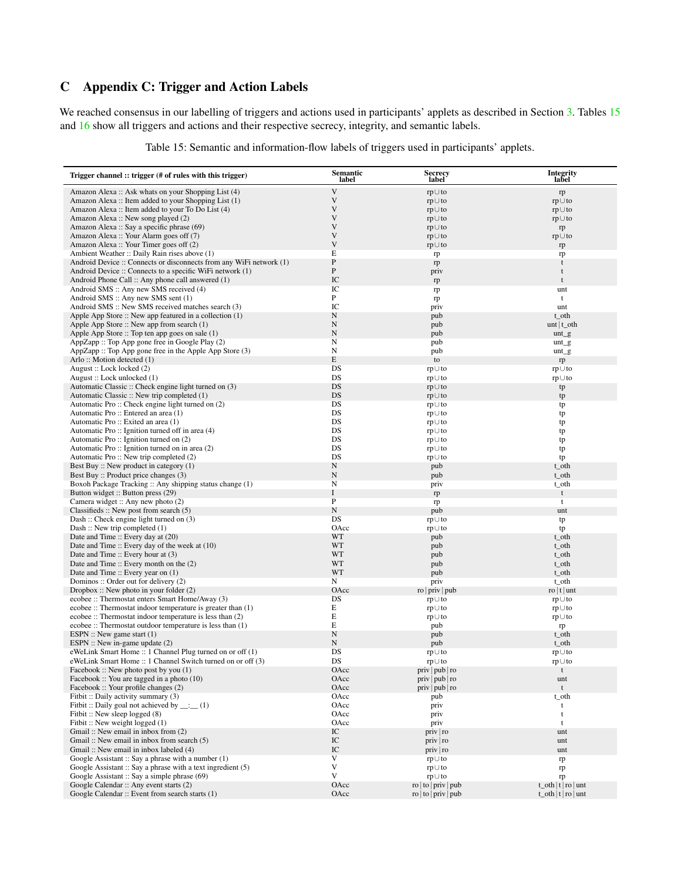# <span id="page-17-0"></span>C Appendix C: Trigger and Action Labels

<span id="page-17-1"></span>We reached consensus in our labelling of triggers and actions used in participants' applets as described in Section [3.](#page-3-2) Tables [15](#page-17-1) and [16](#page-19-0) show all triggers and actions and their respective secrecy, integrity, and semantic labels.

| Trigger channel :: trigger (# of rules with this trigger)                                                             | <b>Semantic</b><br>label   | <b>Secrecy</b><br>label             | <b>Integrity</b><br>label        |
|-----------------------------------------------------------------------------------------------------------------------|----------------------------|-------------------------------------|----------------------------------|
| Amazon Alexa: Ask whats on your Shopping List (4)                                                                     | V                          | $rp \cup to$                        | rp                               |
| Amazon Alexa: Item added to your Shopping List (1)                                                                    | $\mathbf V$                | $rp \cup to$                        | $rp \cup to$                     |
| Amazon Alexa: Item added to your To Do List (4)                                                                       | V                          | $rp \cup to$                        | $rp \cup to$                     |
| Amazon Alexa: New song played (2)                                                                                     | V                          | $rp \cup to$                        | $rp \cup to$                     |
| Amazon Alexa: Say a specific phrase (69)<br>Amazon Alexa: Your Alarm goes off (7)                                     | V<br>V                     | $rp \cup to$                        | rp                               |
| Amazon Alexa: Your Timer goes off (2)                                                                                 | V                          | $rp \cup to$<br>rp∪to               | $rp \cup to$<br>rp               |
| Ambient Weather :: Daily Rain rises above (1)                                                                         | E                          | rp                                  | rp                               |
| Android Device :: Connects or disconnects from any WiFi network (1)                                                   | ${\bf P}$                  | rp                                  | t                                |
| Android Device :: Connects to a specific WiFi network (1)                                                             | $\mathbf P$                | priv                                | t                                |
| Android Phone Call :: Any phone call answered (1)                                                                     | $\rm{IC}$                  | rp                                  | $\mathbf t$                      |
| Android SMS :: Any new SMS received (4)                                                                               | IC                         | rp                                  | unt                              |
| Android SMS :: Any new SMS sent (1)                                                                                   | $\, {\bf P}$<br>IC         | rp                                  | $\mathbf t$                      |
| Android SMS :: New SMS received matches search (3)<br>Apple App Store :: New app featured in a collection (1)         | ${\bf N}$                  | priv<br>pub                         | unt<br>t_oth                     |
| Apple App Store :: New app from search (1)                                                                            | $\mathbf N$                | pub                                 | unt $t_$ oth                     |
| Apple App Store :: Top ten app goes on sale (1)                                                                       | $\mathbf N$                | pub                                 | $unt_g$                          |
| AppZapp :: Top App gone free in Google Play (2)                                                                       | N                          | pub                                 | $unt_g$                          |
| AppZapp :: Top App gone free in the Apple App Store (3)                                                               | N                          | pub                                 | $unt_g$                          |
| Arlo: Motion detected (1)                                                                                             | E                          | to                                  | rp                               |
| August: Lock locked (2)                                                                                               | DS                         | $rp \cup to$                        | $rp \cup to$                     |
| August: Lock unlocked (1)                                                                                             | DS<br>DS                   | $rp \cup to$                        | $rp \cup to$                     |
| Automatic Classic :: Check engine light turned on (3)<br>Automatic Classic :: New trip completed (1)                  | DS                         | $rp \cup to$<br>$rp \cup to$        | tp                               |
| Automatic Pro:: Check engine light turned on (2)                                                                      | DS                         | $rp \cup to$                        | tp<br>tp                         |
| Automatic Pro: Entered an area (1)                                                                                    | DS                         | $rp \cup to$                        | tp                               |
| Automatic Pro:: Exited an area (1)                                                                                    | DS                         | $rp \cup to$                        | tp                               |
| Automatic Pro :: Ignition turned off in area (4)                                                                      | DS                         | $rp \cup to$                        | tp                               |
| Automatic Pro:: Ignition turned on (2)                                                                                | DS                         | $rp \cup to$                        | tp                               |
| Automatic Pro :: Ignition turned on in area (2)                                                                       | DS                         | $rp \cup to$                        | tp                               |
| Automatic Pro:: New trip completed (2)                                                                                | DS                         | $rp \cup to$                        | tp                               |
| Best Buy :: New product in category (1)<br>Best Buy :: Product price changes (3)                                      | $\mathbf N$<br>$\mathbf N$ | pub<br>pub                          | t_oth<br>t_oth                   |
| Boxoh Package Tracking :: Any shipping status change (1)                                                              | N                          | priv                                | t_oth                            |
| Button widget :: Button press (29)                                                                                    | $\bf I$                    | rp                                  | t                                |
| Camera widget :: Any new photo (2)                                                                                    | $\, {\bf P}$               | rp                                  | t                                |
| Classifieds $\therefore$ New post from search $(5)$                                                                   | $\mathbf N$                | pub                                 | unt                              |
| Dash: Check engine light turned on (3)                                                                                | DS                         | $rp \cup to$                        | tp                               |
| Dash: New trip completed (1)                                                                                          | OAcc                       | $rp \cup to$                        | tp                               |
| Date and Time :: Every day at (20)                                                                                    | WT<br>WT                   | pub                                 | t_oth                            |
| Date and Time :: Every day of the week at (10)<br>Date and Time :: Every hour at (3)                                  | WT                         | pub<br>pub                          | t_oth<br>t_oth                   |
| Date and Time $::$ Every month on the $(2)$                                                                           | WT                         | pub                                 | t_oth                            |
| Date and Time :: Every year on (1)                                                                                    | WT                         | pub                                 | t_oth                            |
| Dominos: Order out for delivery (2)                                                                                   | N                          | priv                                | t_oth                            |
| Dropbox: New photo in your folder $(2)$                                                                               | OAcc                       | ro   priv   pub                     | $\frac{1}{x}$ t unt              |
| ecobee :: Thermostat enters Smart Home/Away (3)                                                                       | DS                         | $rp \cup to$                        | $rp \cup to$                     |
| ecobee :: Thermostat indoor temperature is greater than (1)                                                           | E                          | $rp \cup to$                        | $rp \cup to$                     |
| ecobee :: Thermostat indoor temperature is less than (2)<br>ecobee :: Thermostat outdoor temperature is less than (1) | E<br>E                     | $rp \cup to$                        | rp∪to                            |
| ESPN :: New game start $(1)$                                                                                          | $\mathbf N$                | pub<br>pub                          | rp<br>t_oth                      |
| ESPN :: New in-game update $(2)$                                                                                      | N                          | pub                                 | t_oth                            |
| eWeLink Smart Home :: 1 Channel Plug turned on or off (1)                                                             | DS                         | $rp \cup to$                        | $rp \cup to$                     |
| eWeLink Smart Home :: 1 Channel Switch turned on or off (3)                                                           | DS                         | $rp \cup to$                        | $rp \cup to$                     |
| Facebook :: New photo post by you (1)                                                                                 | OAcc                       | priv   pub   ro                     | $\mathbf t$                      |
| Facebook :: You are tagged in a photo $(10)$                                                                          | OAcc                       | priv   pub   ro                     | unt                              |
| Facebook :: Your profile changes (2)<br>Fitbit: Daily activity summary (3)                                            | OAcc                       | priv   pub   ro                     | t                                |
| Fithit :: Daily goal not achieved by $\_\_$ : $(1)$                                                                   | OAcc<br>OAcc               | pub<br>priv                         | t_oth<br>t                       |
| Fitbit: New sleep logged (8)                                                                                          | OAcc                       | priv                                | $\mathsf t$                      |
| Fitbit: New weight logged (1)                                                                                         | OAcc                       | priv                                | $\mathbf t$                      |
| Gmail: New email in inbox from (2)                                                                                    | IC                         | priv ro                             | unt                              |
| Gmail: New email in inbox from search (5)                                                                             | IC                         | priv ro                             | unt                              |
| Gmail: New email in inbox labeled (4)                                                                                 | $\rm{IC}$                  | priv   ro                           | unt                              |
| Google Assistant :: Say a phrase with a number (1)                                                                    | $\mathbf V$                | $rp \cup to$                        | rp                               |
| Google Assistant $\therefore$ Say a phrase with a text ingredient $(5)$                                               | $\ensuremath{\mathsf{V}}$  | rp∪to                               | rp                               |
| Google Assistant :: Say a simple phrase (69)<br>Google Calendar :: Any event starts (2)                               | $\mathbf V$<br>OAcc        | rp∪to<br>ro $ $ to $ $ priv $ $ pub | rp<br>$t_0$ t   $t$   $ro$   unt |
| Google Calendar :: Event from search starts (1)                                                                       | OAcc                       | ro   to   priv   pub                | $t_0$ t   $t$   $ro$   unt       |

Table 15: Semantic and information-flow labels of triggers used in participants' applets.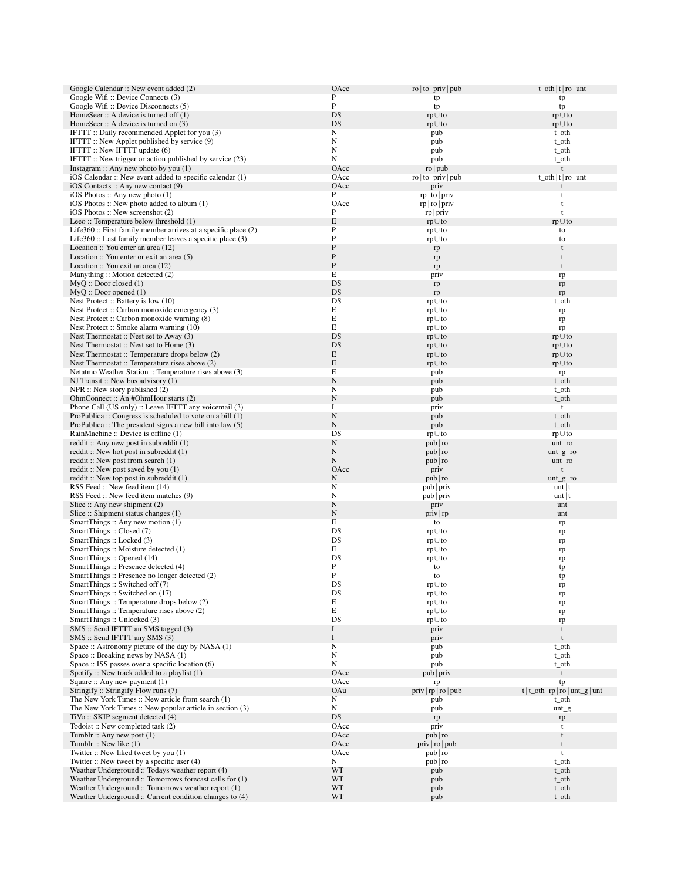| Google Calendar :: New event added (2)                                                              | OAcc                      | ro $ $ to $ $ priv $ $ pub   | $t_0$ t   $t$   $ro$   unt                 |
|-----------------------------------------------------------------------------------------------------|---------------------------|------------------------------|--------------------------------------------|
| Google Wifi: Device Connects (3)                                                                    | P<br>$\mathbf{P}$         | tp                           | tp                                         |
| Google Wifi: Device Disconnects (5)<br>HomeSeer $\therefore$ A device is turned off $(1)$           | DS                        | tp<br>$rp \cup to$           | tp<br>$rp \cup to$                         |
| HomeSeer :: A device is turned on $(3)$                                                             | DS                        | $rp \cup to$                 | $rp \cup to$                               |
| IFTTT: Daily recommended Applet for you (3)                                                         | N                         | pub                          | t_oth                                      |
| IFTTT:: New Applet published by service (9)                                                         | N                         | pub                          | t_oth                                      |
| IFTTT:: New IFTTT update (6)<br>IFTTT: New trigger or action published by service (23)              | N<br>N                    | pub<br>pub                   | t_oth<br>t_oth                             |
| Instagram $\therefore$ Any new photo by you (1)                                                     | OAcc                      | ro   pub                     | t                                          |
| iOS Calendar :: New event added to specific calendar (1)                                            | OAcc                      | ro $ $ to $ $ priv $ $ pub   | $t_{\text{o}}$ th $ t $ ro   unt           |
| $iOS$ Contacts :: Any new contact $(9)$                                                             | OAcc                      | priv                         |                                            |
| iOS Photos :: Any new photo $(1)$                                                                   | $\mathbf{P}$              | $rp$ to priv                 | t                                          |
| $iOS$ Photos :: New photo added to album $(1)$<br>iOS Photos :: New screenshot (2)                  | OAcc<br>P                 | rp   ro   priv<br>$rp$ priv  | t<br>$\mathbf t$                           |
| Leeo :: Temperature below threshold (1)                                                             | $\mathbf E$               | $rp \cup to$                 | $rp \cup to$                               |
| Life $360$ : First family member arrives at a specific place $(2)$                                  | P                         | $rp \cup to$                 | to                                         |
| Life360 :: Last family member leaves a specific place (3)                                           | ${\bf P}$                 | rp∪to                        | to                                         |
| Location :: You enter an area (12)                                                                  | ${\bf P}$                 | rp                           | t                                          |
| Location $\therefore$ You enter or exit an area (5)<br>Location :: You exit an area (12)            | ${\bf P}$<br>$\mathbf{P}$ | rp                           | t<br>t                                     |
| Manything:: Motion detected (2)                                                                     | $\mathbf E$               | rp<br>priv                   | rp                                         |
| MyQ :: Door closed (1)                                                                              | DS                        | rp                           | rp                                         |
| $MyQ :: Door$ opened $(1)$                                                                          | DS                        | rp                           | rp                                         |
| Nest Protect :: Battery is low (10)                                                                 | DS                        | $rp \cup to$                 | t_oth                                      |
| Nest Protect: Carbon monoxide emergency (3)<br>Nest Protect :: Carbon monoxide warning (8)          | E<br>E                    | $rp \cup to$<br>$rp \cup to$ | rp<br>rp                                   |
| Nest Protect :: Smoke alarm warning (10)                                                            | E                         | $rp \cup to$                 | rp                                         |
| Nest Thermostat $\therefore$ Nest set to Away (3)                                                   | DS                        | $rp \cup to$                 | $rp \cup to$                               |
| Nest Thermostat :: Nest set to Home (3)                                                             | DS                        | $rp \cup to$                 | $rp \cup to$                               |
| Nest Thermostat :: Temperature drops below (2)                                                      | E                         | $rp \cup to$                 | $rp \cup to$                               |
| Nest Thermostat :: Temperature rises above (2)                                                      | $\mathbf E$<br>E          | $rp \cup to$                 | $rp \cup to$                               |
| Netatmo Weather Station :: Temperature rises above (3)<br>NJ Transit: New bus advisory $(1)$        | $\mathbf N$               | pub<br>pub                   | rp<br>t_oth                                |
| $NPR$ :: New story published $(2)$                                                                  | N                         | pub                          | t_oth                                      |
| OhmConnect :: An #OhmHour starts (2)                                                                | $\mathbf N$               | pub                          | t_oth                                      |
| Phone Call (US only) :: Leave IFTTT any voicemail (3)                                               | Ι.                        | priv                         | t                                          |
| ProPublica :: Congress is scheduled to vote on a bill $(1)$                                         | ${\bf N}$<br>${\bf N}$    | pub                          | t_oth                                      |
| ProPublica :: The president signs a new bill into law $(5)$<br>RainMachine :: Device is offline (1) | DS                        | pub<br>$rp \cup to$          | t_oth<br>$rp \cup to$                      |
| reddit: Any new post in subreddit $(1)$                                                             | ${\bf N}$                 | pub   ro                     | unt   ro                                   |
| reddit: New hot post in subreddit $(1)$                                                             | ${\bf N}$                 | pub   ro                     | $unt_g ro$                                 |
| reddit:: New post from search $(1)$                                                                 | $\mathbf N$               | pub   ro                     | unt   ro                                   |
| reddit:: New post saved by you $(1)$                                                                | OAcc<br>$\mathbf N$       | priv                         | t                                          |
| reddit: New top post in subreddit $(1)$<br>RSS Feed :: New feed item (14)                           | N                         | pub   ro<br>pub   priv       | $unt_g ro$<br>$unt$   t                    |
| RSS Feed :: New feed item matches (9)                                                               | N                         | pub   priv                   | unt   t                                    |
| Slice $::$ Any new shipment $(2)$                                                                   | $\mathbf N$               | priv                         | unt                                        |
| Slice :: Shipment status changes (1)                                                                | $\mathbf N$               | priv   rp                    | unt                                        |
| SmartThings :: Any new motion $(1)$<br>SmartThings: Closed (7)                                      | E<br>DS                   | to                           | rp                                         |
| SmartThings: Locked (3)                                                                             | DS                        | $rp \cup to$<br>$rp \cup to$ | rp<br>rp                                   |
| SmartThings :: Moisture detected (1)                                                                | E                         | rp∪to                        | rp                                         |
| SmartThings: Opened (14)                                                                            | DS                        | rp∪to                        | rp                                         |
| SmartThings :: Presence detected (4)                                                                | P                         | to                           | tp                                         |
| SmartThings :: Presence no longer detected (2)                                                      | $\mathbf{P}$              | to                           | tp                                         |
| SmartThings :: Switched off (7)<br>SmartThings: Switched on (17)                                    | DS<br>DS                  | rp∪to<br>$rp \cup to$        | rp<br>rp                                   |
| SmartThings :: Temperature drops below (2)                                                          | E                         | $rp \cup to$                 | rp                                         |
| SmartThings :: Temperature rises above (2)                                                          | E                         | $rp \cup to$                 | rp                                         |
| SmartThings: Unlocked (3)                                                                           | DS                        | rp∪to                        | rp                                         |
| SMS :: Send IFTTT an SMS tagged (3)<br>SMS :: Send IFTTT any SMS (3)                                | I<br>$\bf I$              | priv                         | t<br>$\mathbf t$                           |
| Space :: Astronomy picture of the day by NASA (1)                                                   | N                         | priv<br>pub                  | t_oth                                      |
| Space:: Breaking news by NASA (1)                                                                   | N                         | pub                          | t_oth                                      |
| Space :: ISS passes over a specific location (6)                                                    | N                         | pub                          | t_oth                                      |
| Spotify :: New track added to a playlist $(1)$                                                      | OAcc                      | pub   priv                   | t                                          |
| Square :: Any new payment (1)                                                                       | OAcc                      | rp                           | tp                                         |
| Stringify: Stringify Flow runs (7)<br>The New York Times :: New article from search (1)             | OAu<br>N                  | priv   rp   ro   pub<br>pub  | t   t_oth   rp   ro   unt_g   unt<br>t_oth |
| The New York Times :: New popular article in section (3)                                            | N                         | pub                          | $unt_g$                                    |
| TiVo:: SKIP segment detected (4)                                                                    | DS                        | rp                           | rp                                         |
| Todoist: New completed task (2)                                                                     | OAcc                      | priv                         | t                                          |
| Tumblr:: Any new post $(1)$                                                                         | OAcc                      | pub   ro                     | t                                          |
| Tumblr:: New like $(1)$<br>Twitter :: New liked tweet by you (1)                                    | OAcc<br>OAcc              | priv   ro   pub<br>pub   ro  | $\mathbf t$<br>t                           |
| Twitter $::$ New tweet by a specific user $(4)$                                                     | N                         | pub   ro                     | t_oth                                      |
| Weather Underground :: Todays weather report (4)                                                    | WT                        | pub                          | t_oth                                      |
| Weather Underground :: Tomorrows forecast calls for (1)                                             | WT                        | pub                          | t_oth                                      |
| Weather Underground :: Tomorrows weather report (1)                                                 | WT                        | pub                          | t_oth                                      |
| Weather Underground :: Current condition changes to (4)                                             | WT                        | pub                          | t_oth                                      |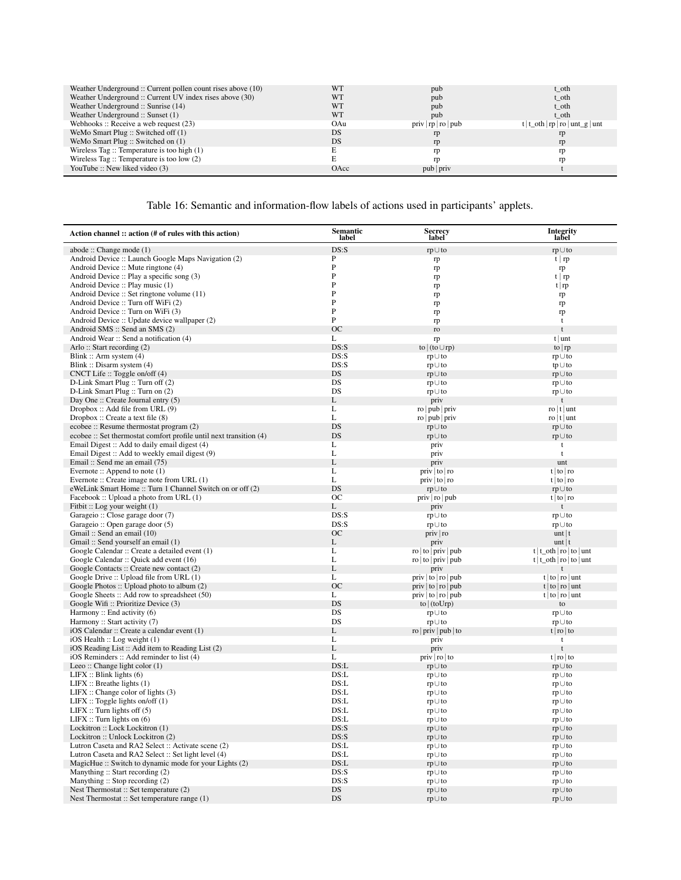| t oth                             |
|-----------------------------------|
| t_oth                             |
| t oth                             |
| t oth                             |
| t   t_oth   rp   ro   unt_g   unt |
| rp                                |
| rp                                |
| rp                                |
| rn                                |
|                                   |
|                                   |

# Table 16: Semantic and information-flow labels of actions used in participants' applets.

<span id="page-19-0"></span>

| Action channel :: action (# of rules with this action)                    | Semantic<br>label | <b>Secrecy</b><br>label                | Integrity<br>label                    |
|---------------------------------------------------------------------------|-------------------|----------------------------------------|---------------------------------------|
| abode :: Change mode (1)                                                  | DS: S             | $rp \cup to$                           | $rp \cup to$                          |
| Android Device :: Launch Google Maps Navigation (2)                       | P                 | rp                                     | t   rp                                |
| Android Device :: Mute ringtone (4)                                       | P                 | rp                                     | rp                                    |
| Android Device :: Play a specific song (3)                                | P                 | rp                                     | $t \mid rp$                           |
| Android Device :: Play music (1)                                          | P                 | rp                                     | t   rp                                |
| Android Device :: Set ringtone volume (11)                                | P<br>P            | rp                                     | rp                                    |
| Android Device :: Turn off WiFi (2)<br>Android Device :: Turn on WiFi (3) | P                 | rp                                     | rp                                    |
| Android Device :: Update device wallpaper (2)                             | P                 | rp<br>rp                               | rp<br>t                               |
| Android SMS :: Send an SMS (2)                                            | <b>OC</b>         | ro                                     | $\mathbf{t}$                          |
| Android Wear :: Send a notification (4)                                   | L                 | rp                                     | $t$   unt                             |
| Arlo:: Start recording $(2)$                                              | DS: S             | to $($ to $\cup$ rp $)$                | to $ rp $                             |
| Blink:: Arm system $(4)$                                                  | DS: S             | $rp \cup to$                           | rp∪to                                 |
| Blink: Disarm system (4)                                                  | DS: S             | rp∪to                                  | $tp \cup to$                          |
| CNCT Life: $Toggle$ on/off (4)                                            | DS                | $rp \cup to$                           | $rp \cup to$                          |
| D-Link Smart Plug :: Turn off (2)                                         | DS                | $rp \cup to$                           | $rp \cup to$                          |
| D-Link Smart Plug :: Turn on (2)                                          | DS                | $rp \cup to$                           | $rp \cup to$                          |
| Day One :: Create Journal entry (5)                                       | L                 | priv                                   | t                                     |
| Dropbox: Add file from URL (9)<br>Dropbox: Create a text file $(8)$       | L<br>L            | ro   pub   priv<br>ro   pub   priv     | $\frac{1}{\pi}$ t unt<br>ro   t   unt |
| ecobee :: Resume thermostat program (2)                                   | DS                | $rp \cup to$                           | $rp \cup to$                          |
| ecobee :: Set thermostat comfort profile until next transition (4)        | DS                | $rp \cup to$                           | $rp \cup to$                          |
| Email Digest :: Add to daily email digest (4)                             | L                 | priv                                   | $\mathsf t$                           |
| Email Digest :: Add to weekly email digest (9)                            | L                 | priv                                   | $\mathbf{t}$                          |
| Email: Send me an email (75)                                              | L                 | priv                                   | unt                                   |
| Evernote:: Append to note $(1)$                                           | L                 | priv   to   ro                         | t   to   to                           |
| Evernote :: Create image note from URL (1)                                | L                 | priv   to   ro                         | $t \mid \text{to} \mid \text{ro}$     |
| eWeLink Smart Home :: Turn 1 Channel Switch on or off (2)                 | <b>DS</b>         | $rp \cup to$                           | $rp \cup to$                          |
| Facebook :: Upload a photo from URL (1)                                   | <b>OC</b>         | priv   ro   pub                        | t   to   to                           |
| Fitbit :: Log your weight (1)                                             | L                 | priv                                   | $\mathbf{t}$                          |
| Garageio :: Close garage door (7)<br>Garageio :: Open garage door (5)     | DS: S<br>DS: S    | $rp \cup to$<br>$rp \cup to$           | $rp \cup to$<br>$rp \cup to$          |
| Gmail: Send an email (10)                                                 | <b>OC</b>         | priv ro                                | $unt$   t                             |
| Gmail: Send yourself an email (1)                                         | L                 | priv                                   | $unt$   t                             |
| Google Calendar :: Create a detailed event (1)                            | L                 | ro $ $ to $ $ priv $ $ pub             | $t   t_0$ th   ro   to   unt          |
| Google Calendar :: Quick add event (16)                                   | L                 | ro   to   priv   pub                   | $t   t_0$ th   ro   to   unt          |
| Google Contacts: Create new contact (2)                                   | L                 | priv                                   |                                       |
| Google Drive :: Upload file from URL (1)                                  | L                 | priv $\vert$ to $\vert$ ro $\vert$ pub | $t   to   to  $ unt                   |
| Google Photos :: Upload photo to album (2)                                | <b>OC</b>         | priv   to   ro   pub                   | t   to   to   unit                    |
| Google Sheets :: Add row to spreadsheet (50)                              | L<br>DS           | priv   to   ro   pub                   | $t   to   to  $ unt                   |
| Google Wifi :: Prioritize Device (3)<br>Harmony :: End activity $(6)$     | DS                | to $ $ (toUrp)<br>rp∪to                | to<br>$rp \cup to$                    |
| Harmony :: Start activity (7)                                             | DS                | rp∪to                                  | $rp \cup to$                          |
| iOS Calendar :: Create a calendar event (1)                               | L                 | ro $ priv pub to$                      | $t  $ ro $ $ to                       |
| $iOS$ Health :: Log weight $(1)$                                          | L                 | priv                                   | t                                     |
| iOS Reading List: Add item to Reading List (2)                            | L                 | priv                                   | $\mathbf{t}$                          |
| iOS Reminders: Add reminder to list (4)                                   | L                 | priv   ro   to                         | $t  $ ro $ $ to                       |
| Leeo:: Change light color $(1)$                                           | DS: L             | $rp \cup to$                           | $rp \cup to$                          |
| LIFX :: Blink lights (6)                                                  | DS: L             | $rp \cup to$                           | $rp \cup to$                          |
| LIFX :: Breathelights(1)<br>LIFX :: Change color of lights (3)            | DS: L<br>DS: L    | rp∪to<br>rp∪to                         | $rp \cup to$<br>$rp \cup to$          |
| LIFX :: Toggle lights on/off $(1)$                                        | DS: L             | $rp \cup to$                           | $rp \cup to$                          |
| LIFX :: Turn lights off $(5)$                                             | DS: L             | rp∪to                                  | $rp \cup to$                          |
| LIFX :: Turn lights on $(6)$                                              | DS: L             | $rp \cup to$                           | $rp \cup to$                          |
| Lockitron :: Lock Lockitron (1)                                           | DS: S             | $rp \cup to$                           | $rp \cup to$                          |
| Lockitron: Unlock Lockitron (2)                                           | DS: S             | $rp \cup to$                           | $rp \cup to$                          |
| Lutron Caseta and RA2 Select :: Activate scene (2)                        | DS: L             | rp∪to                                  | $rp \cup to$                          |
| Lutron Caseta and RA2 Select :: Set light level (4)                       | DS: L             | rp∪to                                  | $rp \cup to$                          |
| MagicHue :: Switch to dynamic mode for your Lights (2)                    | DS: L             | $rp \cup to$                           | $rp \cup to$                          |
| Manything :: Start recording (2)                                          | DS: S<br>DS: S    | rp∪to                                  | rp∪to                                 |
| Manything: Stop recording (2)<br>Nest Thermostat :: Set temperature (2)   | DS.               | rp∪to<br>$rp \cup to$                  | $rp \cup to$<br>$rp \cup to$          |
| Nest Thermostat :: Set temperature range (1)                              | DS                | $rp \cup to$                           | $rp \cup to$                          |
|                                                                           |                   |                                        |                                       |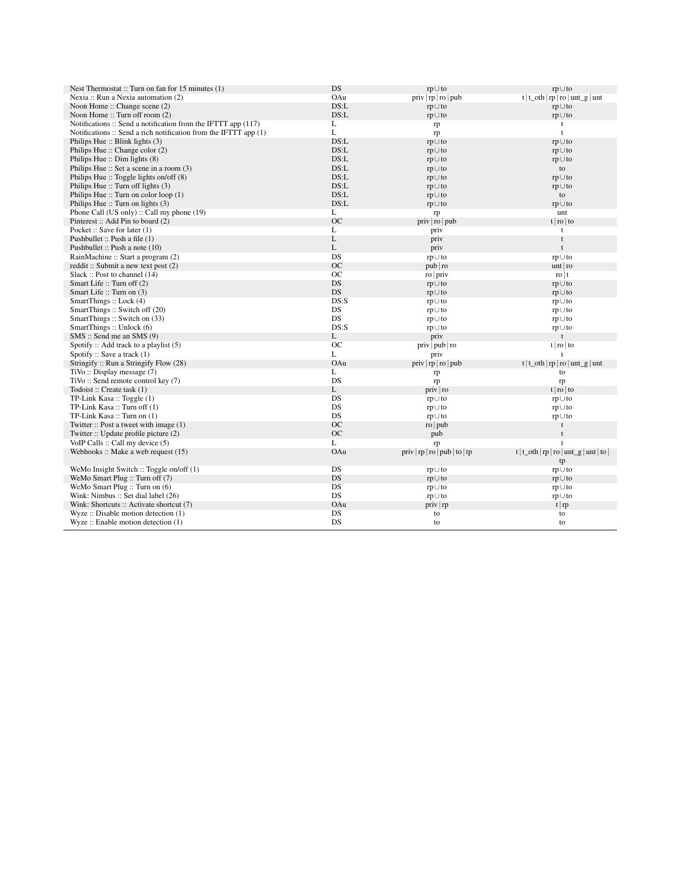| Nest Thermostat :: Turn on fan for 15 minutes (1)                    | DS        | $rp \cup to$                   | $rp \cup to$                             |
|----------------------------------------------------------------------|-----------|--------------------------------|------------------------------------------|
| Nexia :: Run a Nexia automation (2)                                  | OAu       | priv   rp   ro   pub           | $t   t_0$ th   rp   ro   unt_g   unt     |
| Noon Home:: Change scene (2)                                         | DS: L     | $rp \cup to$                   | $rp \cup to$                             |
| Noon Home:: Turn off room (2)                                        | DS: L     | $rp \cup to$                   | $rp \cup to$                             |
| Notifications :: Send a notification from the IFTTT app (117)        | L         | rp                             | t                                        |
| Notifications $::$ Send a rich notification from the IFTTT app $(1)$ | L         | rp                             | t                                        |
| Philips Hue $::$ Blink lights $(3)$                                  | DS: L     | $rp \cup to$                   | $rp \cup to$                             |
| Philips Hue :: Change color (2)                                      | DS: L     | $rp \cup to$                   | $rp \cup to$                             |
| Philips Hue: Dim lights (8)                                          | DS: L     | $rp \cup to$                   | $rp \cup to$                             |
| Philips Hue $::$ Set a scene in a room $(3)$                         | DS: L     | $rp \cup to$                   | to                                       |
| Philips Hue $::$ Toggle lights on/off $(8)$                          | DS: L     | $rp \cup to$                   | $rp \cup to$                             |
| Philips Hue $::$ Turn off lights $(3)$                               | DS: L     | $rp \cup to$                   | $rp \cup to$                             |
| Philips Hue :: Turn on color loop $(1)$                              | DS: L     | $rp \cup to$                   | to                                       |
| Philips Hue $::$ Turn on lights $(3)$                                | DS: L     | $rp \cup to$                   | $rp \cup to$                             |
| Phone Call (US only) :: Call my phone (19)                           | L         | rp                             | unt                                      |
| Pinterest: Add Pin to board (2)                                      | <b>OC</b> | priv   ro   pub                | $t  $ ro $ $ to                          |
| Pocket :: Save for later (1)                                         | L         | priv                           | t                                        |
| Pushbullet :: Push a file (1)                                        | L         | priv                           | t                                        |
| Pushbullet :: Push a note (10)                                       | L         | priv                           | $\mathbf{t}$                             |
| RainMachine :: Start a program (2)                                   | DS        | $rp \cup to$                   | $rp \cup to$                             |
| reddit:: Submit a new text post $(2)$                                | <b>OC</b> | pub ro                         | unt   ro                                 |
| Slack :: Post to channel (14)                                        | OC        | ro priv                        | $\frac{1}{\pi}$                          |
| Smart Life: Turn off (2)                                             | <b>DS</b> | $rp \cup to$                   | $rp \cup to$                             |
| Smart Life: Turn on (3)                                              | DS        | $rp \cup to$                   | $rp \cup to$                             |
| SmartThings: Lock (4)                                                | DS: S     | $rp \cup to$                   | $rp \cup to$                             |
| SmartThings: Switch off (20)                                         | <b>DS</b> | $rp \cup to$                   | $rp \cup to$                             |
| SmartThings: Switch on (33)                                          | DS        | $rp \cup to$                   | $rp \cup to$                             |
| SmartThings: Unlock (6)                                              | DS: S     | $rp \cup to$                   | $rp \cup to$                             |
| $SMS ::$ Send me an SMS $(9)$                                        | L         | priv                           | $\mathbf{t}$                             |
| Spotify :: Add track to a playlist $(5)$                             | OC        | priv   pub   ro                | $t  $ ro $ $ to                          |
| Spotify :: Save a track $(1)$                                        | L         | priv                           | $\mathbf{t}$                             |
| Stringify: Run a Stringify Flow (28)                                 | OAu       | priv   rp   ro   pub           | $t   t_0$ t   rp   ro   unt_g   unt      |
| $TiVo$ :: Display message $(7)$                                      | L         | rp                             | to                                       |
| TiVo:: Send remote control key (7)                                   | <b>DS</b> | rp                             | rp                                       |
| Todoist: Create task (1)                                             | L         | priv   ro                      | $t  $ ro $ $ to                          |
| TP-Link Kasa: Toggle (1)                                             | DS        | $rp \cup to$                   | $rp \cup to$                             |
| TP-Link Kasa:: Turn off (1)                                          | <b>DS</b> | $rp \cup to$                   | $rp \cup to$                             |
| TP-Link Kasa :: Turn on (1)                                          | DS        | $rp \cup to$                   | $rp \cup to$                             |
| Twitter $::$ Post a tweet with image $(1)$                           | <b>OC</b> | $\frac{1}{2}$ ro   pub         | t                                        |
| Twitter :: Update profile picture (2)                                | <b>OC</b> | pub                            | t                                        |
| VoIP Calls :: Call my device (5)                                     | L         | rp                             | $\mathbf{f}$                             |
| Webhooks: Make a web request $(15)$                                  | OAu       | priv   rp   ro   pub   to   tp | $t   t_0$ t   rp   ro   unt g   unt   to |
|                                                                      |           |                                | tp                                       |
| WeMo Insight Switch :: Toggle on/off (1)                             | DS        | $rp \cup to$                   | $rp \cup to$                             |
| WeMo Smart Plug :: Turn off (7)                                      | <b>DS</b> | $rp \cup to$                   | $rp \cup to$                             |
| WeMo Smart Plug :: Turn on (6)                                       | DS        | $rp \cup to$                   | $rp \cup to$                             |
| Wink: Nimbus :: Set dial label (26)                                  | <b>DS</b> | rp∪to                          | $rp \cup to$                             |
| Wink: Shortcuts :: Activate shortcut (7)                             | OAu       | priv   rp                      | t   rp                                   |
| $Wyze$ : Disable motion detection $(1)$                              | DS        | to                             | to                                       |
| $Wyze$ : Enable motion detection $(1)$                               | <b>DS</b> | to                             | to                                       |
|                                                                      |           |                                |                                          |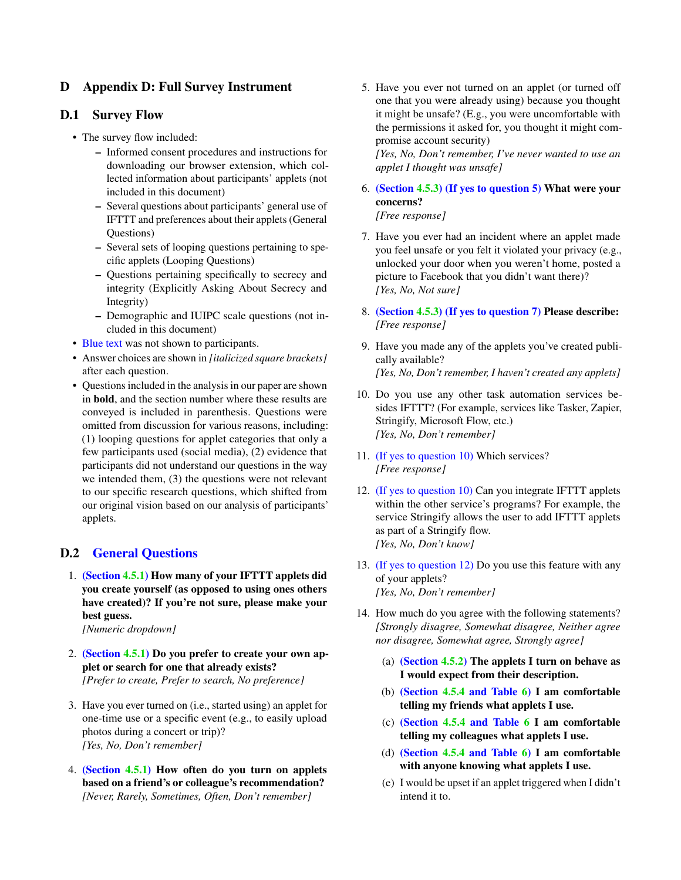## <span id="page-21-0"></span>D Appendix D: Full Survey Instrument

### D.1 Survey Flow

- The survey flow included:
	- Informed consent procedures and instructions for downloading our browser extension, which collected information about participants' applets (not included in this document)
	- Several questions about participants' general use of IFTTT and preferences about their applets (General Questions)
	- Several sets of looping questions pertaining to specific applets (Looping Questions)
	- Questions pertaining specifically to secrecy and integrity (Explicitly Asking About Secrecy and Integrity)
	- Demographic and IUIPC scale questions (not included in this document)
- Blue text was not shown to participants.
- Answer choices are shown in *[italicized square brackets]* after each question.
- Questions included in the analysis in our paper are shown in bold, and the section number where these results are conveyed is included in parenthesis. Questions were omitted from discussion for various reasons, including: (1) looping questions for applet categories that only a few participants used (social media), (2) evidence that participants did not understand our questions in the way we intended them, (3) the questions were not relevant to our specific research questions, which shifted from our original vision based on our analysis of participants' applets.

## D.2 General Questions

1. (Section [4.5.1\)](#page-8-3) How many of your IFTTT applets did you create yourself (as opposed to using ones others have created)? If you're not sure, please make your best guess.

*[Numeric dropdown]*

- 2. (Section [4.5.1\)](#page-8-3) Do you prefer to create your own applet or search for one that already exists? *[Prefer to create, Prefer to search, No preference]*
- 3. Have you ever turned on (i.e., started using) an applet for one-time use or a specific event (e.g., to easily upload photos during a concert or trip)? *[Yes, No, Don't remember]*
- 4. (Section [4.5.1\)](#page-8-3) How often do you turn on applets based on a friend's or colleague's recommendation? *[Never, Rarely, Sometimes, Often, Don't remember]*

5. Have you ever not turned on an applet (or turned off one that you were already using) because you thought it might be unsafe? (E.g., you were uncomfortable with the permissions it asked for, you thought it might compromise account security)

*[Yes, No, Don't remember, I've never wanted to use an applet I thought was unsafe]*

6. (Section [4.5.3\)](#page-8-4) (If yes to question 5) What were your concerns?

*[Free response]*

- 7. Have you ever had an incident where an applet made you feel unsafe or you felt it violated your privacy (e.g., unlocked your door when you weren't home, posted a picture to Facebook that you didn't want there)? *[Yes, No, Not sure]*
- 8. (Section [4.5.3\)](#page-8-4) (If yes to question 7) Please describe: *[Free response]*
- 9. Have you made any of the applets you've created publically available? *[Yes, No, Don't remember, I haven't created any applets]*
- 10. Do you use any other task automation services besides IFTTT? (For example, services like Tasker, Zapier, Stringify, Microsoft Flow, etc.) *[Yes, No, Don't remember]*
- 11. (If yes to question 10) Which services? *[Free response]*
- 12. (If yes to question 10) Can you integrate IFTTT applets within the other service's programs? For example, the service Stringify allows the user to add IFTTT applets as part of a Stringify flow. *[Yes, No, Don't know]*
- 13. (If yes to question 12) Do you use this feature with any of your applets? *[Yes, No, Don't remember]*
- 14. How much do you agree with the following statements? *[Strongly disagree, Somewhat disagree, Neither agree nor disagree, Somewhat agree, Strongly agree]*
	- (a) (Section [4.5.2\)](#page-8-5) The applets I turn on behave as I would expect from their description.
	- (b) (Section [4.5.4](#page-9-3) and Table [6\)](#page-9-1) I am comfortable telling my friends what applets I use.
	- (c) (Section [4.5.4](#page-9-3) and Table [6](#page-9-1) I am comfortable telling my colleagues what applets I use.
	- (d) (Section [4.5.4](#page-9-3) and Table [6\)](#page-9-1) I am comfortable with anyone knowing what applets I use.
	- (e) I would be upset if an applet triggered when I didn't intend it to.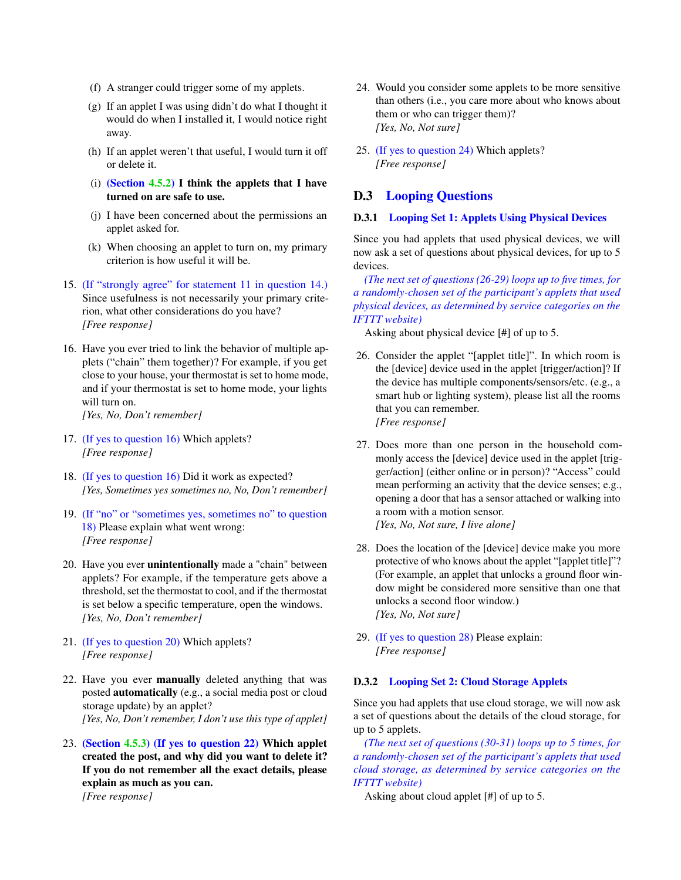- (f) A stranger could trigger some of my applets.
- (g) If an applet I was using didn't do what I thought it would do when I installed it, I would notice right away.
- (h) If an applet weren't that useful, I would turn it off or delete it.
- (i) (Section [4.5.2\)](#page-8-5) I think the applets that I have turned on are safe to use.
- (j) I have been concerned about the permissions an applet asked for.
- (k) When choosing an applet to turn on, my primary criterion is how useful it will be.
- 15. (If "strongly agree" for statement 11 in question 14.) Since usefulness is not necessarily your primary criterion, what other considerations do you have? *[Free response]*
- 16. Have you ever tried to link the behavior of multiple applets ("chain" them together)? For example, if you get close to your house, your thermostat is set to home mode, and if your thermostat is set to home mode, your lights will turn on. *[Yes, No, Don't remember]*
- 17. (If yes to question 16) Which applets? *[Free response]*
- 18. (If yes to question 16) Did it work as expected? *[Yes, Sometimes yes sometimes no, No, Don't remember]*
- 19. (If "no" or "sometimes yes, sometimes no" to question 18) Please explain what went wrong: *[Free response]*
- 20. Have you ever unintentionally made a "chain" between applets? For example, if the temperature gets above a threshold, set the thermostat to cool, and if the thermostat is set below a specific temperature, open the windows. *[Yes, No, Don't remember]*
- 21. (If yes to question 20) Which applets? *[Free response]*
- 22. Have you ever manually deleted anything that was posted automatically (e.g., a social media post or cloud storage update) by an applet? *[Yes, No, Don't remember, I don't use this type of applet]*
- 23. (Section [4.5.3\)](#page-8-4) (If yes to question 22) Which applet created the post, and why did you want to delete it? If you do not remember all the exact details, please explain as much as you can.

*[Free response]*

- 24. Would you consider some applets to be more sensitive than others (i.e., you care more about who knows about them or who can trigger them)? *[Yes, No, Not sure]*
- 25. (If yes to question 24) Which applets? *[Free response]*

## D.3 Looping Questions

#### D.3.1 Looping Set 1: Applets Using Physical Devices

Since you had applets that used physical devices, we will now ask a set of questions about physical devices, for up to 5 devices.

*(The next set of questions (26-29) loops up to five times, for a randomly-chosen set of the participant's applets that used physical devices, as determined by service categories on the IFTTT website)*

Asking about physical device [#] of up to 5.

- 26. Consider the applet "[applet title]". In which room is the [device] device used in the applet [trigger/action]? If the device has multiple components/sensors/etc. (e.g., a smart hub or lighting system), please list all the rooms that you can remember. *[Free response]*
- 27. Does more than one person in the household commonly access the [device] device used in the applet [trigger/action] (either online or in person)? "Access" could mean performing an activity that the device senses; e.g., opening a door that has a sensor attached or walking into a room with a motion sensor. *[Yes, No, Not sure, I live alone]*
- 28. Does the location of the [device] device make you more protective of who knows about the applet "[applet title]"? (For example, an applet that unlocks a ground floor window might be considered more sensitive than one that unlocks a second floor window.) *[Yes, No, Not sure]*
- 29. (If yes to question 28) Please explain: *[Free response]*

#### D.3.2 Looping Set 2: Cloud Storage Applets

Since you had applets that use cloud storage, we will now ask a set of questions about the details of the cloud storage, for up to 5 applets.

*(The next set of questions (30-31) loops up to 5 times, for a randomly-chosen set of the participant's applets that used cloud storage, as determined by service categories on the IFTTT website)*

Asking about cloud applet [#] of up to 5.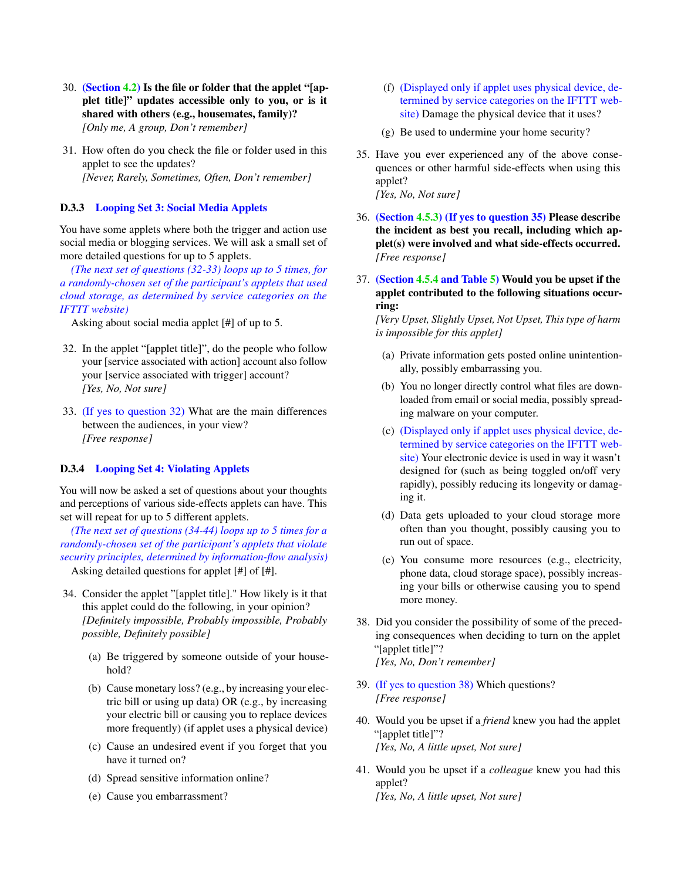- 30. (Section [4.2\)](#page-4-2) Is the file or folder that the applet "[applet title]" updates accessible only to you, or is it shared with others (e.g., housemates, family)? *[Only me, A group, Don't remember]*
- 31. How often do you check the file or folder used in this applet to see the updates? *[Never, Rarely, Sometimes, Often, Don't remember]*

### D.3.3 Looping Set 3: Social Media Applets

You have some applets where both the trigger and action use social media or blogging services. We will ask a small set of more detailed questions for up to 5 applets.

*(The next set of questions (32-33) loops up to 5 times, for a randomly-chosen set of the participant's applets that used cloud storage, as determined by service categories on the IFTTT website)*

Asking about social media applet [#] of up to 5.

- 32. In the applet "[applet title]", do the people who follow your [service associated with action] account also follow your [service associated with trigger] account? *[Yes, No, Not sure]*
- 33. (If yes to question 32) What are the main differences between the audiences, in your view? *[Free response]*

### D.3.4 Looping Set 4: Violating Applets

You will now be asked a set of questions about your thoughts and perceptions of various side-effects applets can have. This set will repeat for up to 5 different applets.

*(The next set of questions (34-44) loops up to 5 times for a randomly-chosen set of the participant's applets that violate security principles, determined by information-flow analysis)* Asking detailed questions for applet [#] of [#].

- 34. Consider the applet "[applet title]." How likely is it that this applet could do the following, in your opinion? *[Definitely impossible, Probably impossible, Probably possible, Definitely possible]*
	- (a) Be triggered by someone outside of your household?
	- (b) Cause monetary loss? (e.g., by increasing your electric bill or using up data) OR (e.g., by increasing your electric bill or causing you to replace devices more frequently) (if applet uses a physical device)
	- (c) Cause an undesired event if you forget that you have it turned on?
	- (d) Spread sensitive information online?
	- (e) Cause you embarrassment?
- (f) (Displayed only if applet uses physical device, determined by service categories on the IFTTT website) Damage the physical device that it uses?
- (g) Be used to undermine your home security?
- 35. Have you ever experienced any of the above consequences or other harmful side-effects when using this applet? *[Yes, No, Not sure]*
- 36. (Section [4.5.3\)](#page-8-4) (If yes to question 35) Please describe the incident as best you recall, including which applet(s) were involved and what side-effects occurred. *[Free response]*
- 37. (Section [4.5.4](#page-9-3) and Table [5\)](#page-8-2) Would you be upset if the applet contributed to the following situations occurring:

*[Very Upset, Slightly Upset, Not Upset, This type of harm is impossible for this applet]*

- (a) Private information gets posted online unintentionally, possibly embarrassing you.
- (b) You no longer directly control what files are downloaded from email or social media, possibly spreading malware on your computer.
- (c) (Displayed only if applet uses physical device, determined by service categories on the IFTTT website) Your electronic device is used in way it wasn't designed for (such as being toggled on/off very rapidly), possibly reducing its longevity or damaging it.
- (d) Data gets uploaded to your cloud storage more often than you thought, possibly causing you to run out of space.
- (e) You consume more resources (e.g., electricity, phone data, cloud storage space), possibly increasing your bills or otherwise causing you to spend more money.
- 38. Did you consider the possibility of some of the preceding consequences when deciding to turn on the applet "[applet title]"?

*[Yes, No, Don't remember]*

- 39. (If yes to question 38) Which questions? *[Free response]*
- 40. Would you be upset if a *friend* knew you had the applet "[applet title]"? *[Yes, No, A little upset, Not sure]*
- 41. Would you be upset if a *colleague* knew you had this applet? *[Yes, No, A little upset, Not sure]*